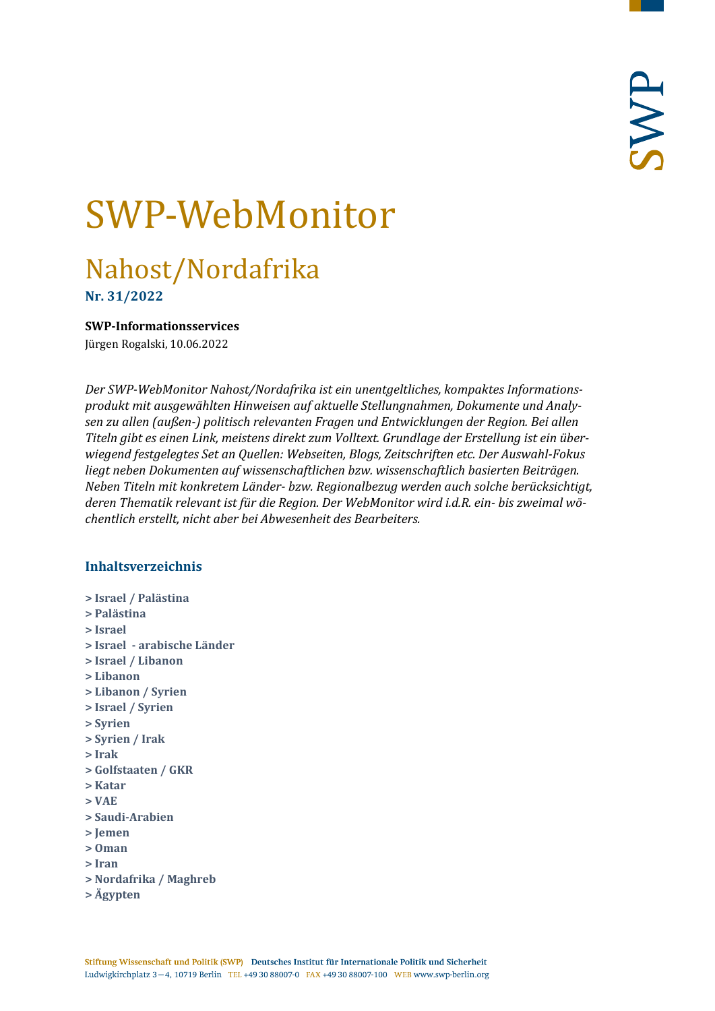# SWP-WebMonitor

# Nahost/Nordafrika

**Nr. 31/2022**

#### <span id="page-0-0"></span>**SWP-Informationsservices**

Jürgen Rogalski, 10.06.2022

*Der SWP-WebMonitor Nahost/Nordafrika ist ein unentgeltliches, kompaktes Informationsprodukt mit ausgewählten Hinweisen auf aktuelle Stellungnahmen, Dokumente und Analysen zu allen (außen-) politisch relevanten Fragen und Entwicklungen der Region. Bei allen Titeln gibt es einen Link, meistens direkt zum Volltext. Grundlage der Erstellung ist ein überwiegend festgelegtes Set an Quellen: Webseiten, Blogs, Zeitschriften etc. Der Auswahl-Fokus liegt neben Dokumenten auf wissenschaftlichen bzw. wissenschaftlich basierten Beiträgen. Neben Titeln mit konkretem Länder- bzw. Regionalbezug werden auch solche berücksichtigt, deren Thematik relevant ist für die Region. Der WebMonitor wird i.d.R. ein- bis zweimal wöchentlich erstellt, nicht aber bei Abwesenheit des Bearbeiters.*

# **Inhaltsverzeichnis**

- **[> Israel / Palästina](#page-1-0)**
- **[> Palästina](#page-4-0)**
- **[> Israel](#page-5-0)**
- **> Israel - [arabische Länder](#page-6-0)**
- **[> Israel / Libanon](#page-6-1)**
- **[> Libanon](#page-7-0)**
- **[> Libanon / Syrien](#page-8-0)**
- **[> Israel / Syrien](#page-8-1)**
- **[> Syrien](#page-8-2)**
- **[> Syrien / Irak](#page-10-0)**
- **[> Irak](#page-10-1)**
- **[> Golfstaaten / GKR](#page-11-0)**
- **[> Katar](#page-11-1)**
- **[> VAE](#page-12-0)**
- **[> Saudi-Arabien](#page-12-1)**
- **[> Jemen](#page-13-0)**
- **[> Oman](#page-13-1)**
- **[> Iran](#page-14-0)**
- **[> Nordafrika / Maghreb](#page-16-0)**
- **[> Ägypten](#page-16-1)**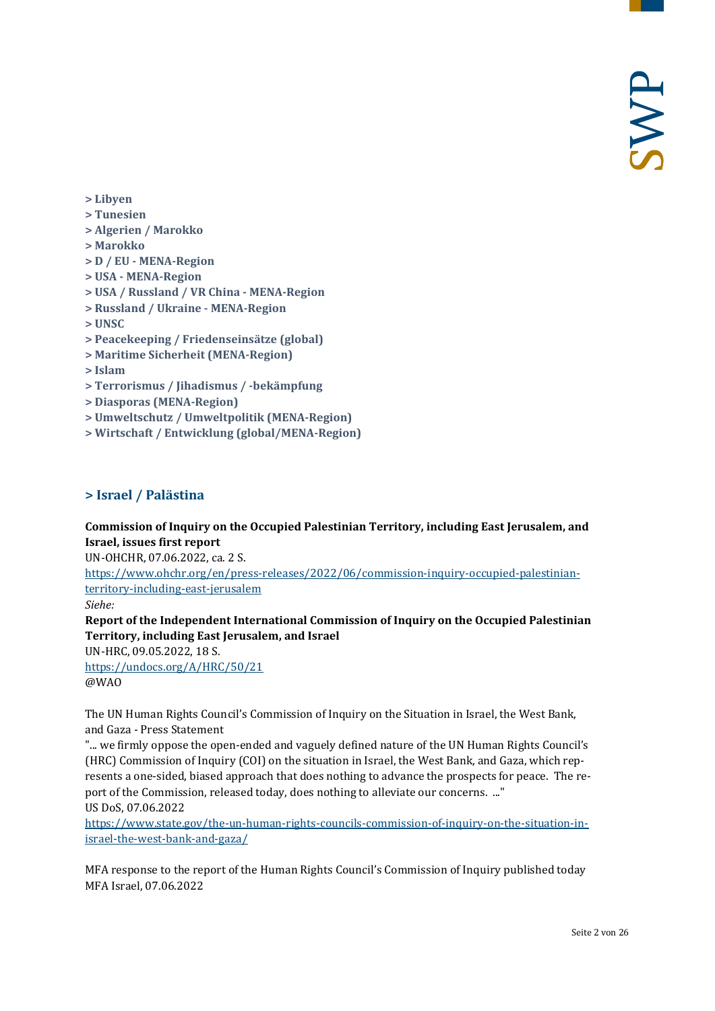- **[> Libyen](#page-17-0)**
- **[> Tunesien](#page-18-0)**
- **[> Algerien / Marokko](#page-19-0)**
- **[> Marokko](#page-19-1)**
- **> D / EU - [MENA-Region](#page-20-0)**
- **> USA - [MENA-Region](#page-20-1)**
- **[> USA / Russland / VR China -](#page-20-2) MENA-Region**
- **> Russland / Ukraine - [MENA-Region](#page-21-0)**
- **[> UNSC](#page-21-1)**
- **[> Peacekeeping / Friedenseinsätze \(global\)](#page-21-2)**
- **[> Maritime Sicherheit \(MENA-Region\)](#page-22-0)**
- **[> Islam](#page-22-1)**
- **[> Terrorismus / Jihadismus / -bekämpfung](#page-22-2)**
- **[> Diasporas \(MENA-Region\)](#page-24-0)**
- **[> Umweltschutz / Umweltpolitik \(MENA-Region\)](#page-24-1)**
- <span id="page-1-0"></span>**[> Wirtschaft / Entwicklung \(global/MENA-Region\)](#page-24-2)**

#### **> Israel / Palästina**

**Commission of Inquiry on the Occupied Palestinian Territory, including East Jerusalem, and Israel, issues first report**

UN-OHCHR, 07.06.2022, ca. 2 S.

[https://www.ohchr.org/en/press-releases/2022/06/commission-inquiry-occupied-palestinian](https://www.ohchr.org/en/press-releases/2022/06/commission-inquiry-occupied-palestinian-territory-including-east-jerusalem)[territory-including-east-jerusalem](https://www.ohchr.org/en/press-releases/2022/06/commission-inquiry-occupied-palestinian-territory-including-east-jerusalem)

*Siehe:*

**Report of the Independent International Commission of Inquiry on the Occupied Palestinian Territory, including East Jerusalem, and Israel**

UN-HRC, 09.05.2022, 18 S. <https://undocs.org/A/HRC/50/21>

@WAO

The UN Human Rights Council's Commission of Inquiry on the Situation in Israel, the West Bank, and Gaza - Press Statement

"... we firmly oppose the open-ended and vaguely defined nature of the UN Human Rights Council's (HRC) Commission of Inquiry (COI) on the situation in Israel, the West Bank, and Gaza, which represents a one-sided, biased approach that does nothing to advance the prospects for peace. The report of the Commission, released today, does nothing to alleviate our concerns. ..." US DoS, 07.06.2022

[https://www.state.gov/the-un-human-rights-councils-commission-of-inquiry-on-the-situation-in](https://www.state.gov/the-un-human-rights-councils-commission-of-inquiry-on-the-situation-in-israel-the-west-bank-and-gaza/)[israel-the-west-bank-and-gaza/](https://www.state.gov/the-un-human-rights-councils-commission-of-inquiry-on-the-situation-in-israel-the-west-bank-and-gaza/)

MFA response to the report of the Human Rights Council's Commission of Inquiry published today MFA Israel, 07.06.2022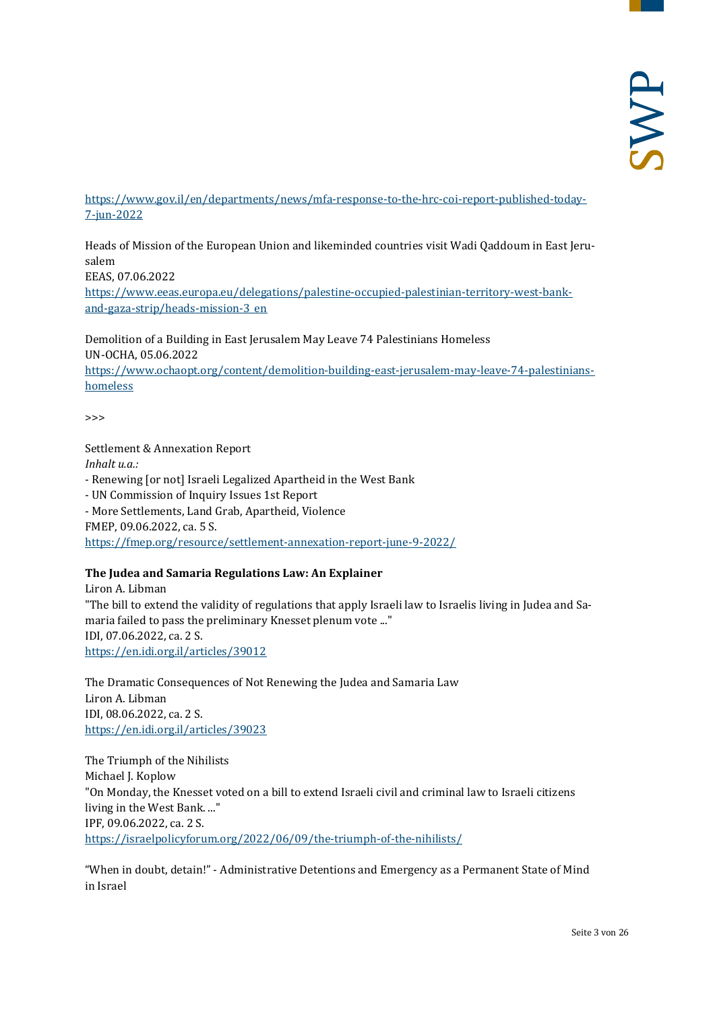[https://www.gov.il/en/departments/news/mfa-response-to-the-hrc-coi-report-published-today-](https://www.gov.il/en/departments/news/mfa-response-to-the-hrc-coi-report-published-today-7-jun-2022)[7-jun-2022](https://www.gov.il/en/departments/news/mfa-response-to-the-hrc-coi-report-published-today-7-jun-2022)

Heads of Mission of the European Union and likeminded countries visit Wadi Qaddoum in East Jerusalem EEAS, 07.06.2022 [https://www.eeas.europa.eu/delegations/palestine-occupied-palestinian-territory-west-bank](https://www.eeas.europa.eu/delegations/palestine-occupied-palestinian-territory-west-bank-and-gaza-strip/heads-mission-3_en)[and-gaza-strip/heads-mission-3\\_en](https://www.eeas.europa.eu/delegations/palestine-occupied-palestinian-territory-west-bank-and-gaza-strip/heads-mission-3_en)

Demolition of a Building in East Jerusalem May Leave 74 Palestinians Homeless UN-OCHA, 05.06.2022 [https://www.ochaopt.org/content/demolition-building-east-jerusalem-may-leave-74-palestinians](https://www.ochaopt.org/content/demolition-building-east-jerusalem-may-leave-74-palestinians-homeless)[homeless](https://www.ochaopt.org/content/demolition-building-east-jerusalem-may-leave-74-palestinians-homeless)

 $\rightarrow$ 

Settlement & Annexation Report

*Inhalt u.a.:* - Renewing [or not] Israeli Legalized Apartheid in the West Bank - UN Commission of Inquiry Issues 1st Report - More Settlements, Land Grab, Apartheid, Violence FMEP, 09.06.2022, ca. 5 S. <https://fmep.org/resource/settlement-annexation-report-june-9-2022/>

#### **The Judea and Samaria Regulations Law: An Explainer**

Liron A. Libman "The bill to extend the validity of regulations that apply Israeli law to Israelis living in Judea and Samaria failed to pass the preliminary Knesset plenum vote ..." IDI, 07.06.2022, ca. 2 S. <https://en.idi.org.il/articles/39012>

The Dramatic Consequences of Not Renewing the Judea and Samaria Law Liron A. Libman IDI, 08.06.2022, ca. 2 S. <https://en.idi.org.il/articles/39023>

The Triumph of the Nihilists Michael J. Koplow "On Monday, the Knesset voted on a bill to extend Israeli civil and criminal law to Israeli citizens living in the West Bank. ..." IPF, 09.06.2022, ca. 2 S. <https://israelpolicyforum.org/2022/06/09/the-triumph-of-the-nihilists/>

"When in doubt, detain!" - Administrative Detentions and Emergency as a Permanent State of Mind in Israel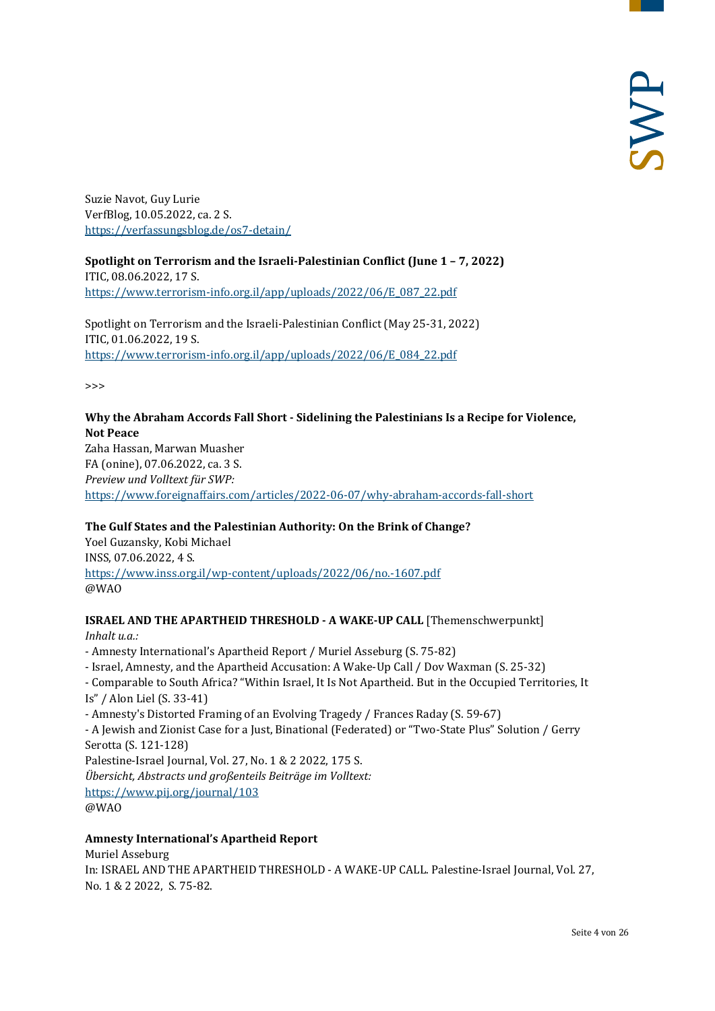Suzie Navot, Guy Lurie VerfBlog, 10.05.2022, ca. 2 S. <https://verfassungsblog.de/os7-detain/>

**Spotlight on Terrorism and the Israeli-Palestinian Conflict (June 1 – 7, 2022)** ITIC, 08.06.2022, 17 S. [https://www.terrorism-info.org.il/app/uploads/2022/06/E\\_087\\_22.pdf](https://www.terrorism-info.org.il/app/uploads/2022/06/E_087_22.pdf)

Spotlight on Terrorism and the Israeli-Palestinian Conflict (May 25-31, 2022) ITIC, 01.06.2022, 19 S. [https://www.terrorism-info.org.il/app/uploads/2022/06/E\\_084\\_22.pdf](https://www.terrorism-info.org.il/app/uploads/2022/06/E_084_22.pdf)

>>>

#### **Why the Abraham Accords Fall Short - Sidelining the Palestinians Is a Recipe for Violence, Not Peace**

Zaha Hassan, Marwan Muasher FA (onine), 07.06.2022, ca. 3 S. *Preview und Volltext für SWP:* <https://www.foreignaffairs.com/articles/2022-06-07/why-abraham-accords-fall-short>

# **The Gulf States and the Palestinian Authority: On the Brink of Change?**

Yoel Guzansky, Kobi Michael INSS, 07.06.2022, 4 S. <https://www.inss.org.il/wp-content/uploads/2022/06/no.-1607.pdf> @WAO

# **ISRAEL AND THE APARTHEID THRESHOLD - A WAKE-UP CALL** [Themenschwerpunkt]

*Inhalt u.a.:*

- Amnesty International's Apartheid Report / Muriel Asseburg (S. 75-82)
- Israel, Amnesty, and the Apartheid Accusation: A Wake-Up Call / Dov Waxman (S. 25-32)
- Comparable to South Africa? "Within Israel, It Is Not Apartheid. But in the Occupied Territories, It

Is" / Alon Liel (S. 33-41)

- Amnesty's Distorted Framing of an Evolving Tragedy / Frances Raday (S. 59-67)

- A Jewish and Zionist Case for a Just, Binational (Federated) or "Two-State Plus" Solution / Gerry Serotta (S. 121-128)

Palestine-Israel Journal, Vol. 27, No. 1 & 2 2022, 175 S.

*Übersicht, Abstracts und großenteils Beiträge im Volltext:*

<https://www.pij.org/journal/103> @WAO

#### **Amnesty International's Apartheid Report**

Muriel Asseburg

In: ISRAEL AND THE APARTHEID THRESHOLD - A WAKE-UP CALL. Palestine-Israel Journal, Vol. 27, No. 1 & 2 2022, S. 75-82.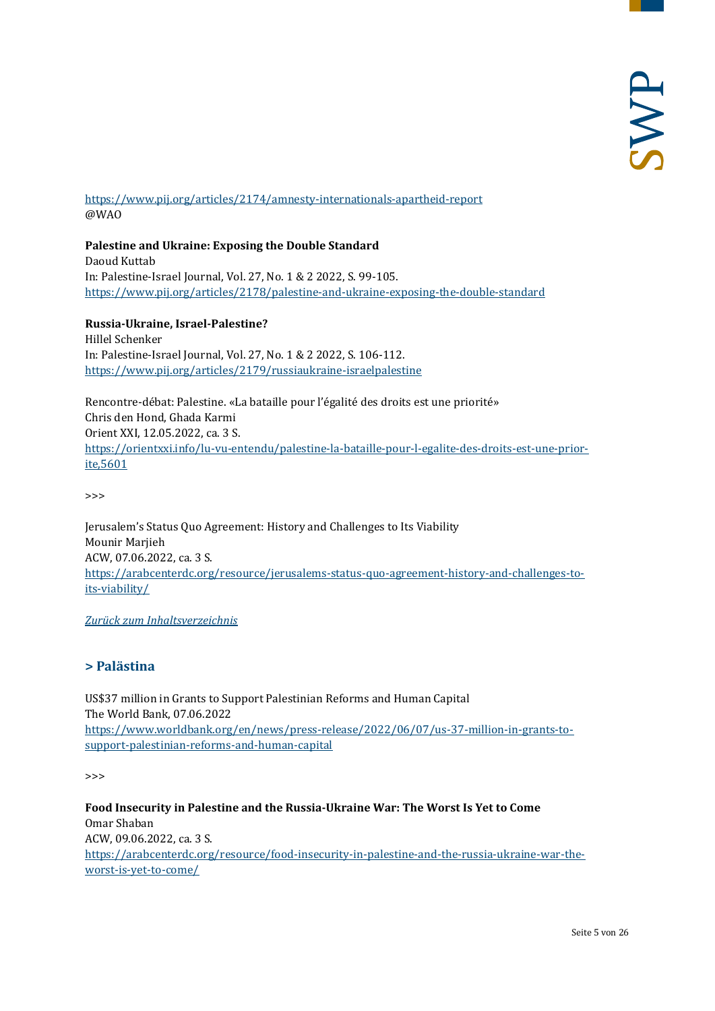<https://www.pij.org/articles/2174/amnesty-internationals-apartheid-report> @WAO

**Palestine and Ukraine: Exposing the Double Standard**  Daoud Kuttab In: Palestine-Israel Journal, Vol. 27, No. 1 & 2 2022, S. 99-105. <https://www.pij.org/articles/2178/palestine-and-ukraine-exposing-the-double-standard>

**Russia-Ukraine, Israel-Palestine?**  Hillel Schenker In: Palestine-Israel Journal, Vol. 27, No. 1 & 2 2022, S. 106-112. <https://www.pij.org/articles/2179/russiaukraine-israelpalestine>

Rencontre-débat: Palestine. «La bataille pour l'égalité des droits est une priorité» Chris den Hond, Ghada Karmi Orient XXI, 12.05.2022, ca. 3 S. [https://orientxxi.info/lu-vu-entendu/palestine-la-bataille-pour-l-egalite-des-droits-est-une-prior](https://orientxxi.info/lu-vu-entendu/palestine-la-bataille-pour-l-egalite-des-droits-est-une-priorite,5601)[ite,5601](https://orientxxi.info/lu-vu-entendu/palestine-la-bataille-pour-l-egalite-des-droits-est-une-priorite,5601)

>>>

Jerusalem's Status Quo Agreement: History and Challenges to Its Viability Mounir Marjieh ACW, 07.06.2022, ca. 3 S. [https://arabcenterdc.org/resource/jerusalems-status-quo-agreement-history-and-challenges-to](https://arabcenterdc.org/resource/jerusalems-status-quo-agreement-history-and-challenges-to-its-viability/)[its-viability/](https://arabcenterdc.org/resource/jerusalems-status-quo-agreement-history-and-challenges-to-its-viability/)

<span id="page-4-0"></span>*[Zurück zum Inhaltsverzeichnis](#page-0-0)*

# **> Palästina**

US\$37 million in Grants to Support Palestinian Reforms and Human Capital The World Bank, 07.06.2022 [https://www.worldbank.org/en/news/press-release/2022/06/07/us-37-million-in-grants-to](https://www.worldbank.org/en/news/press-release/2022/06/07/us-37-million-in-grants-to-support-palestinian-reforms-and-human-capital)[support-palestinian-reforms-and-human-capital](https://www.worldbank.org/en/news/press-release/2022/06/07/us-37-million-in-grants-to-support-palestinian-reforms-and-human-capital)

 $\rightarrow$ 

**Food Insecurity in Palestine and the Russia-Ukraine War: The Worst Is Yet to Come** Omar Shaban ACW, 09.06.2022, ca. 3 S. [https://arabcenterdc.org/resource/food-insecurity-in-palestine-and-the-russia-ukraine-war-the](https://arabcenterdc.org/resource/food-insecurity-in-palestine-and-the-russia-ukraine-war-the-worst-is-yet-to-come/)[worst-is-yet-to-come/](https://arabcenterdc.org/resource/food-insecurity-in-palestine-and-the-russia-ukraine-war-the-worst-is-yet-to-come/)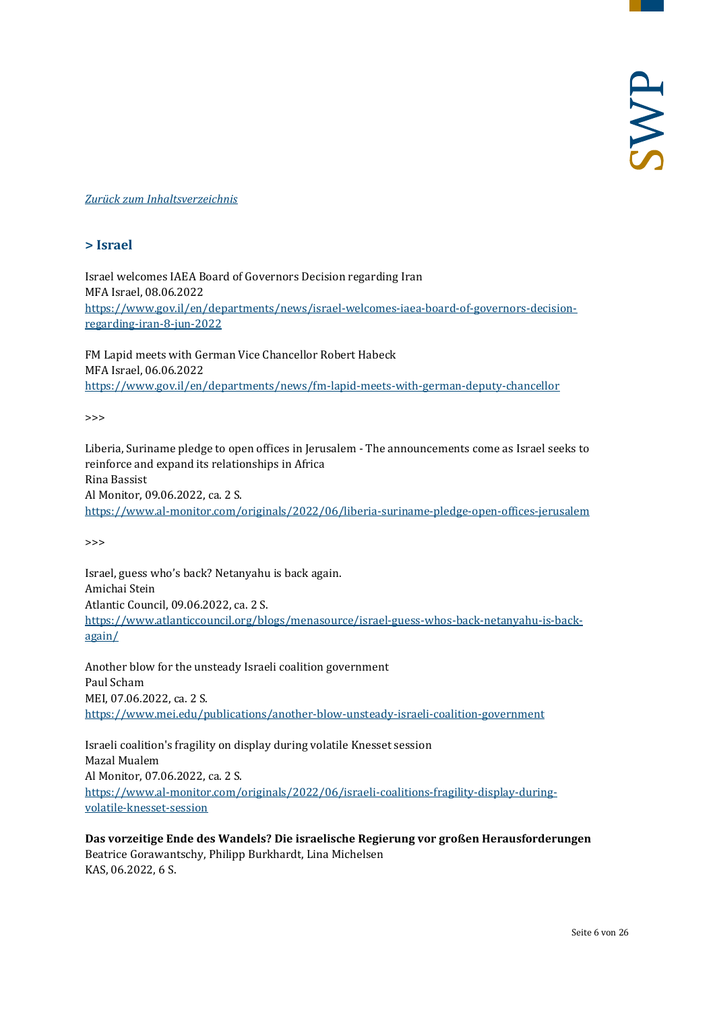#### <span id="page-5-0"></span>*[Zurück zum Inhaltsverzeichnis](#page-0-0)*

#### **> Israel**

Israel welcomes IAEA Board of Governors Decision regarding Iran MFA Israel, 08.06.2022 [https://www.gov.il/en/departments/news/israel-welcomes-iaea-board-of-governors-decision](https://www.gov.il/en/departments/news/israel-welcomes-iaea-board-of-governors-decision-regarding-iran-8-jun-2022)[regarding-iran-8-jun-2022](https://www.gov.il/en/departments/news/israel-welcomes-iaea-board-of-governors-decision-regarding-iran-8-jun-2022)

FM Lapid meets with German Vice Chancellor Robert Habeck MFA Israel, 06.06.2022 <https://www.gov.il/en/departments/news/fm-lapid-meets-with-german-deputy-chancellor>

>>>

Liberia, Suriname pledge to open offices in Jerusalem - The announcements come as Israel seeks to reinforce and expand its relationships in Africa Rina Bassist Al Monitor, 09.06.2022, ca. 2 S. <https://www.al-monitor.com/originals/2022/06/liberia-suriname-pledge-open-offices-jerusalem>

>>>

Israel, guess who's back? Netanyahu is back again. Amichai Stein Atlantic Council, 09.06.2022, ca. 2 S. [https://www.atlanticcouncil.org/blogs/menasource/israel-guess-whos-back-netanyahu-is-back](https://www.atlanticcouncil.org/blogs/menasource/israel-guess-whos-back-netanyahu-is-back-again/)[again/](https://www.atlanticcouncil.org/blogs/menasource/israel-guess-whos-back-netanyahu-is-back-again/)

Another blow for the unsteady Israeli coalition government Paul Scham MEI, 07.06.2022, ca. 2 S. <https://www.mei.edu/publications/another-blow-unsteady-israeli-coalition-government>

Israeli coalition's fragility on display during volatile Knesset session Mazal Mualem Al Monitor, 07.06.2022, ca. 2 S. [https://www.al-monitor.com/originals/2022/06/israeli-coalitions-fragility-display-during](https://www.al-monitor.com/originals/2022/06/israeli-coalitions-fragility-display-during-volatile-knesset-session)[volatile-knesset-session](https://www.al-monitor.com/originals/2022/06/israeli-coalitions-fragility-display-during-volatile-knesset-session)

**Das vorzeitige Ende des Wandels? Die israelische Regierung vor großen Herausforderungen** Beatrice Gorawantschy, Philipp Burkhardt, Lina Michelsen KAS, 06.2022, 6 S.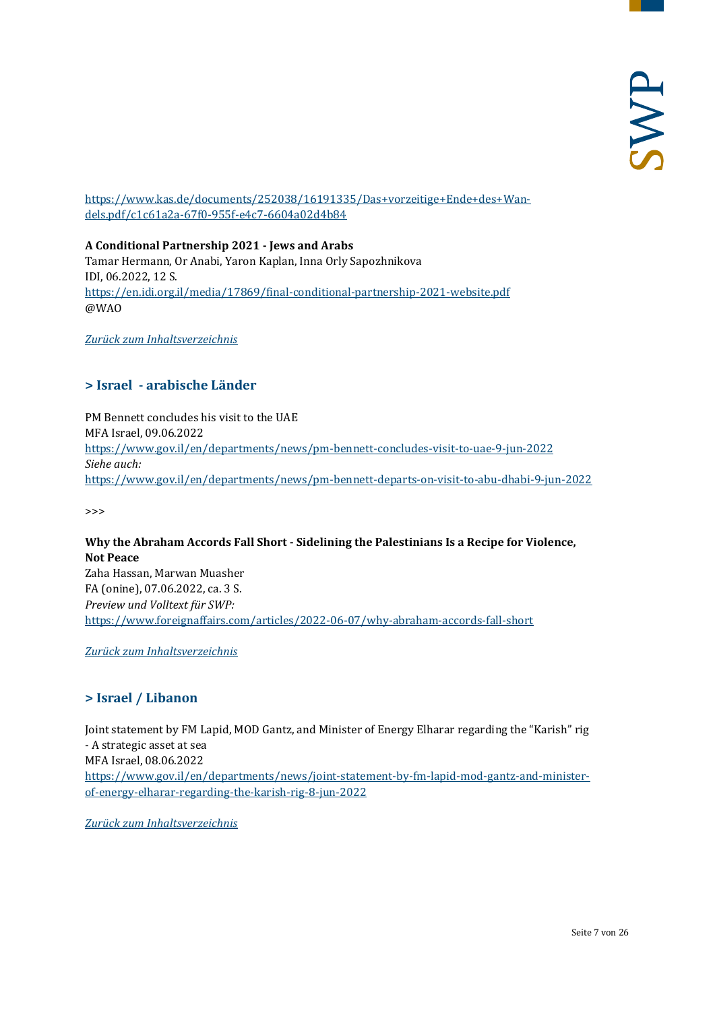[https://www.kas.de/documents/252038/16191335/Das+vorzeitige+Ende+des+Wan](https://www.kas.de/documents/252038/16191335/Das+vorzeitige+Ende+des+Wandels.pdf/c1c61a2a-67f0-955f-e4c7-6604a02d4b84)[dels.pdf/c1c61a2a-67f0-955f-e4c7-6604a02d4b84](https://www.kas.de/documents/252038/16191335/Das+vorzeitige+Ende+des+Wandels.pdf/c1c61a2a-67f0-955f-e4c7-6604a02d4b84)

#### **A Conditional Partnership 2021 - Jews and Arabs**

Tamar Hermann, Or Anabi, Yaron Kaplan, Inna Orly Sapozhnikova IDI, 06.2022, 12 S. <https://en.idi.org.il/media/17869/final-conditional-partnership-2021-website.pdf> @WAO

<span id="page-6-0"></span>*[Zurück zum Inhaltsverzeichnis](#page-0-0)*

# **> Israel - arabische Länder**

PM Bennett concludes his visit to the UAE MFA Israel, 09.06.2022 <https://www.gov.il/en/departments/news/pm-bennett-concludes-visit-to-uae-9-jun-2022> *Siehe auch:* <https://www.gov.il/en/departments/news/pm-bennett-departs-on-visit-to-abu-dhabi-9-jun-2022>

>>>

**Why the Abraham Accords Fall Short - Sidelining the Palestinians Is a Recipe for Violence, Not Peace** Zaha Hassan, Marwan Muasher FA (onine), 07.06.2022, ca. 3 S. *Preview und Volltext für SWP:* <https://www.foreignaffairs.com/articles/2022-06-07/why-abraham-accords-fall-short>

<span id="page-6-1"></span>*[Zurück zum Inhaltsverzeichnis](#page-0-0)*

# **> Israel / Libanon**

Joint statement by FM Lapid, MOD Gantz, and Minister of Energy Elharar regarding the "Karish" rig - A strategic asset at sea MFA Israel, 08.06.2022 [https://www.gov.il/en/departments/news/joint-statement-by-fm-lapid-mod-gantz-and-minister](https://www.gov.il/en/departments/news/joint-statement-by-fm-lapid-mod-gantz-and-minister-of-energy-elharar-regarding-the-karish-rig-8-jun-2022)[of-energy-elharar-regarding-the-karish-rig-8-jun-2022](https://www.gov.il/en/departments/news/joint-statement-by-fm-lapid-mod-gantz-and-minister-of-energy-elharar-regarding-the-karish-rig-8-jun-2022)

*[Zurück zum Inhaltsverzeichnis](#page-0-0)*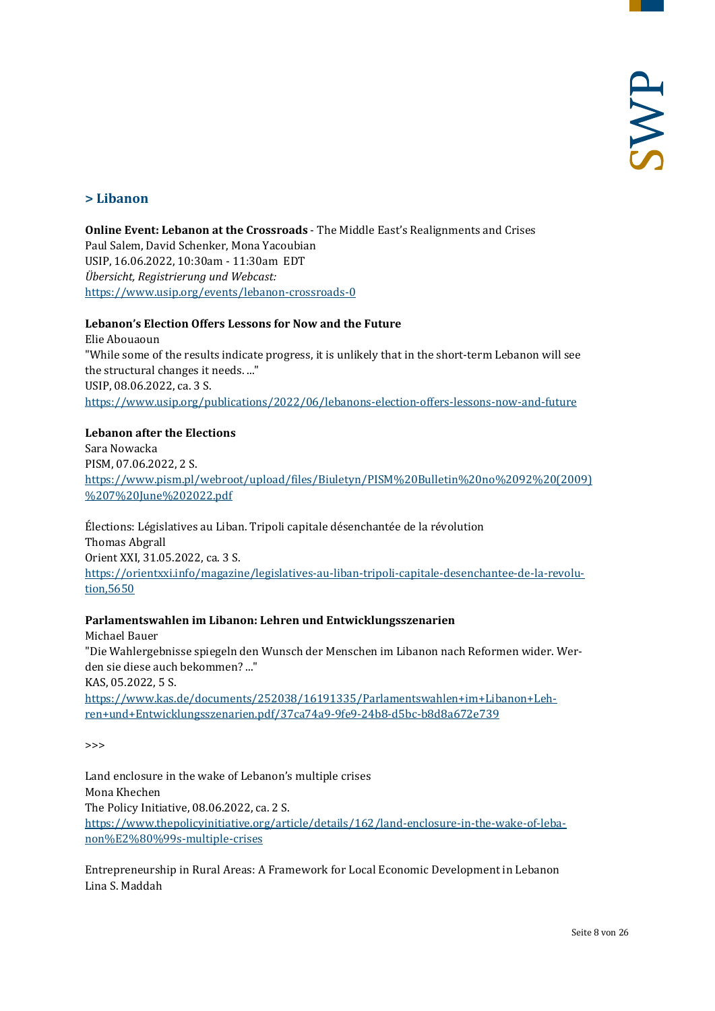# <span id="page-7-0"></span>**> Libanon**

**Online Event: Lebanon at the Crossroads** - The Middle East's Realignments and Crises Paul Salem, David Schenker, Mona Yacoubian USIP, 16.06.2022, 10:30am - 11:30am EDT *Übersicht, Registrierung und Webcast:* <https://www.usip.org/events/lebanon-crossroads-0>

#### **Lebanon's Election Offers Lessons for Now and the Future**

Elie Abouaoun "While some of the results indicate progress, it is unlikely that in the short-term Lebanon will see the structural changes it needs. ..." USIP, 08.06.2022, ca. 3 S. <https://www.usip.org/publications/2022/06/lebanons-election-offers-lessons-now-and-future>

#### **Lebanon after the Elections**

Sara Nowacka PISM, 07.06.2022, 2 S. [https://www.pism.pl/webroot/upload/files/Biuletyn/PISM%20Bulletin%20no%2092%20\(2009\)](https://www.pism.pl/webroot/upload/files/Biuletyn/PISM%20Bulletin%20no%2092%20(2009)%207%20June%202022.pdf) [%207%20June%202022.pdf](https://www.pism.pl/webroot/upload/files/Biuletyn/PISM%20Bulletin%20no%2092%20(2009)%207%20June%202022.pdf)

Élections: Législatives au Liban. Tripoli capitale désenchantée de la révolution Thomas Abgrall Orient XXI, 31.05.2022, ca. 3 S. [https://orientxxi.info/magazine/legislatives-au-liban-tripoli-capitale-desenchantee-de-la-revolu](https://orientxxi.info/magazine/legislatives-au-liban-tripoli-capitale-desenchantee-de-la-revolution,5650)[tion,5650](https://orientxxi.info/magazine/legislatives-au-liban-tripoli-capitale-desenchantee-de-la-revolution,5650)

#### **Parlamentswahlen im Libanon: Lehren und Entwicklungsszenarien**

Michael Bauer "Die Wahlergebnisse spiegeln den Wunsch der Menschen im Libanon nach Reformen wider. Werden sie diese auch bekommen? ..." KAS, 05.2022, 5 S. [https://www.kas.de/documents/252038/16191335/Parlamentswahlen+im+Libanon+Leh](https://www.kas.de/documents/252038/16191335/Parlamentswahlen+im+Libanon+Lehren+und+Entwicklungsszenarien.pdf/37ca74a9-9fe9-24b8-d5bc-b8d8a672e739)[ren+und+Entwicklungsszenarien.pdf/37ca74a9-9fe9-24b8-d5bc-b8d8a672e739](https://www.kas.de/documents/252038/16191335/Parlamentswahlen+im+Libanon+Lehren+und+Entwicklungsszenarien.pdf/37ca74a9-9fe9-24b8-d5bc-b8d8a672e739)

>>>

Land enclosure in the wake of Lebanon's multiple crises Mona Khechen The Policy Initiative, 08.06.2022, ca. 2 S. [https://www.thepolicyinitiative.org/article/details/162/land-enclosure-in-the-wake-of-leba](https://www.thepolicyinitiative.org/article/details/162/land-enclosure-in-the-wake-of-lebanon%E2%80%99s-multiple-crises)[non%E2%80%99s-multiple-crises](https://www.thepolicyinitiative.org/article/details/162/land-enclosure-in-the-wake-of-lebanon%E2%80%99s-multiple-crises)

Entrepreneurship in Rural Areas: A Framework for Local Economic Development in Lebanon Lina S. Maddah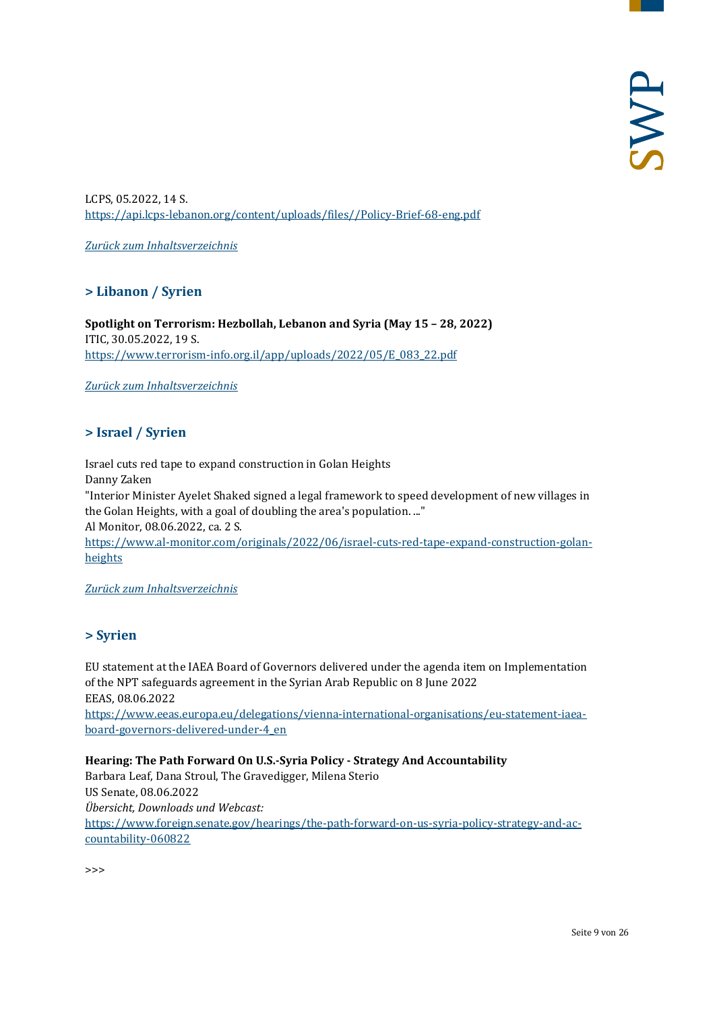LCPS, 05.2022, 14 S. [https://api.lcps-lebanon.org/content/uploads/files//Policy-Brief-68-eng.pdf](https://api.lcps-lebanon.org/content/uploads/files/Policy-Brief-68-eng.pdf)

<span id="page-8-0"></span>*[Zurück zum Inhaltsverzeichnis](#page-0-0)*

# **> Libanon / Syrien**

**Spotlight on Terrorism: Hezbollah, Lebanon and Syria (May 15 – 28, 2022)** ITIC, 30.05.2022, 19 S. [https://www.terrorism-info.org.il/app/uploads/2022/05/E\\_083\\_22.pdf](https://www.terrorism-info.org.il/app/uploads/2022/05/E_083_22.pdf)

<span id="page-8-1"></span>*[Zurück zum Inhaltsverzeichnis](#page-0-0)*

# **> Israel / Syrien**

Israel cuts red tape to expand construction in Golan Heights Danny Zaken "Interior Minister Ayelet Shaked signed a legal framework to speed development of new villages in the Golan Heights, with a goal of doubling the area's population. ..." Al Monitor, 08.06.2022, ca. 2 S.

[https://www.al-monitor.com/originals/2022/06/israel-cuts-red-tape-expand-construction-golan](https://www.al-monitor.com/originals/2022/06/israel-cuts-red-tape-expand-construction-golan-heights)[heights](https://www.al-monitor.com/originals/2022/06/israel-cuts-red-tape-expand-construction-golan-heights)

<span id="page-8-2"></span>*[Zurück zum Inhaltsverzeichnis](#page-0-0)*

#### **> Syrien**

EU statement at the IAEA Board of Governors delivered under the agenda item on Implementation of the NPT safeguards agreement in the Syrian Arab Republic on 8 June 2022 EEAS, 08.06.2022

[https://www.eeas.europa.eu/delegations/vienna-international-organisations/eu-statement-iaea](https://www.eeas.europa.eu/delegations/vienna-international-organisations/eu-statement-iaea-board-governors-delivered-under-4_en)[board-governors-delivered-under-4\\_en](https://www.eeas.europa.eu/delegations/vienna-international-organisations/eu-statement-iaea-board-governors-delivered-under-4_en)

**Hearing: The Path Forward On U.S.-Syria Policy - Strategy And Accountability**  Barbara Leaf, Dana Stroul, The Gravedigger, Milena Sterio US Senate, 08.06.2022 *Übersicht, Downloads und Webcast:* [https://www.foreign.senate.gov/hearings/the-path-forward-on-us-syria-policy-strategy-and-ac](https://www.foreign.senate.gov/hearings/the-path-forward-on-us-syria-policy-strategy-and-accountability-060822)[countability-060822](https://www.foreign.senate.gov/hearings/the-path-forward-on-us-syria-policy-strategy-and-accountability-060822)

>>>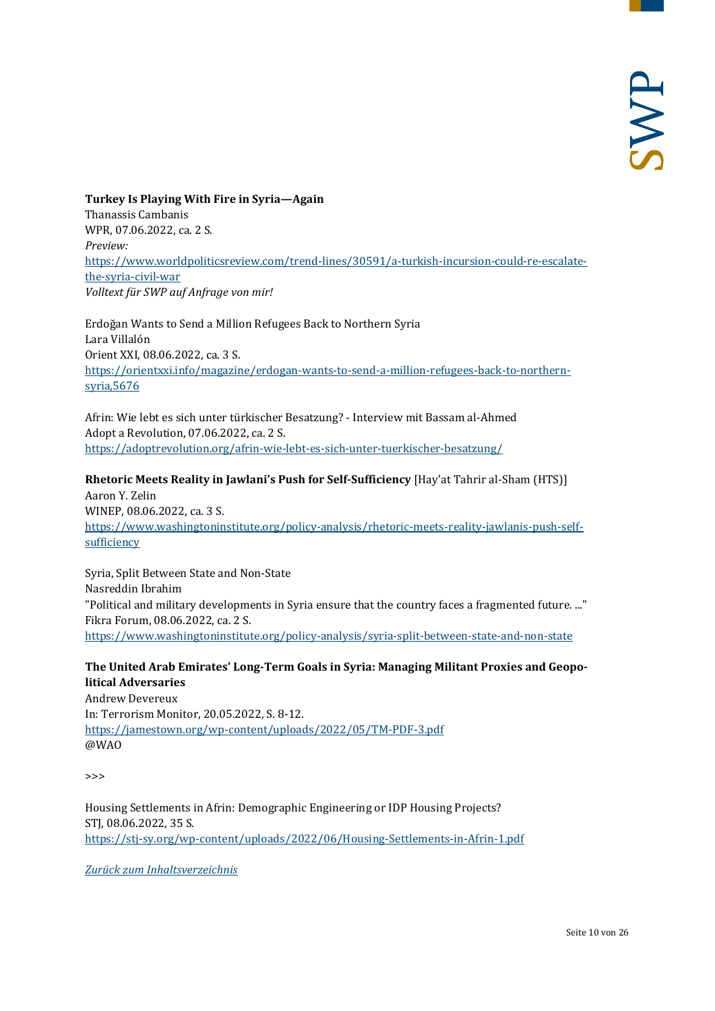**Turkey Is Playing With Fire in Syria—Again** Thanassis Cambanis WPR, 07.06.2022, ca. 2 S. *Preview:* [https://www.worldpoliticsreview.com/trend-lines/30591/a-turkish-incursion-could-re-escalate](https://www.worldpoliticsreview.com/trend-lines/30591/a-turkish-incursion-could-re-escalate-the-syria-civil-war)[the-syria-civil-war](https://www.worldpoliticsreview.com/trend-lines/30591/a-turkish-incursion-could-re-escalate-the-syria-civil-war) *Volltext für SWP auf Anfrage von mir!*

Erdoğan Wants to Send a Million Refugees Back to Northern Syria Lara Villalón Orient XXI, 08.06.2022, ca. 3 S. [https://orientxxi.info/magazine/erdogan-wants-to-send-a-million-refugees-back-to-northern](https://orientxxi.info/magazine/erdogan-wants-to-send-a-million-refugees-back-to-northern-syria,5676)[syria,5676](https://orientxxi.info/magazine/erdogan-wants-to-send-a-million-refugees-back-to-northern-syria,5676)

Afrin: Wie lebt es sich unter türkischer Besatzung? - Interview mit Bassam al-Ahmed Adopt a Revolution, 07.06.2022, ca. 2 S. <https://adoptrevolution.org/afrin-wie-lebt-es-sich-unter-tuerkischer-besatzung/>

**Rhetoric Meets Reality in Jawlani's Push for Self-Sufficiency** [Hay'at Tahrir al-Sham (HTS)] Aaron Y. Zelin WINEP, 08.06.2022, ca. 3 S. [https://www.washingtoninstitute.org/policy-analysis/rhetoric-meets-reality-jawlanis-push-self](https://www.washingtoninstitute.org/policy-analysis/rhetoric-meets-reality-jawlanis-push-self-sufficiency)[sufficiency](https://www.washingtoninstitute.org/policy-analysis/rhetoric-meets-reality-jawlanis-push-self-sufficiency)

Syria, Split Between State and Non-State Nasreddin Ibrahim "Political and military developments in Syria ensure that the country faces a fragmented future. ..." Fikra Forum, 08.06.2022, ca. 2 S. <https://www.washingtoninstitute.org/policy-analysis/syria-split-between-state-and-non-state>

#### **The United Arab Emirates' Long-Term Goals in Syria: Managing Militant Proxies and Geopolitical Adversaries**

Andrew Devereux In: Terrorism Monitor, 20.05.2022, S. 8-12. <https://jamestown.org/wp-content/uploads/2022/05/TM-PDF-3.pdf> @WAO

 $\rightarrow$ 

Housing Settlements in Afrin: Demographic Engineering or IDP Housing Projects? STJ, 08.06.2022, 35 S. <https://stj-sy.org/wp-content/uploads/2022/06/Housing-Settlements-in-Afrin-1.pdf>

*[Zurück zum Inhaltsverzeichnis](#page-0-0)*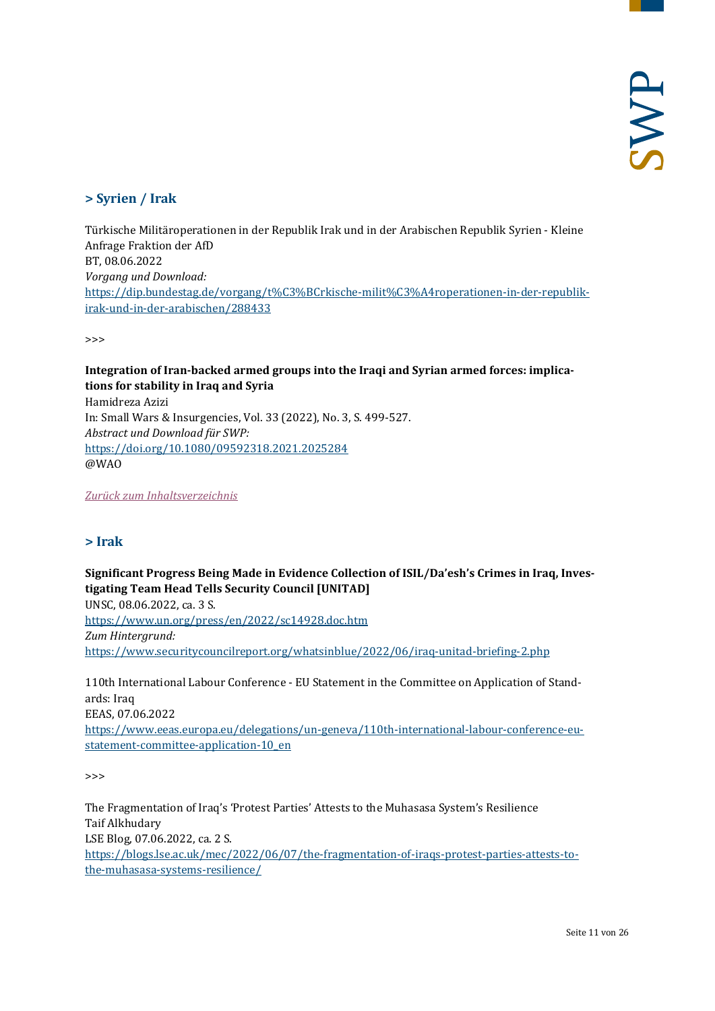# <span id="page-10-0"></span>**> Syrien / Irak**

Türkische Militäroperationen in der Republik Irak und in der Arabischen Republik Syrien - Kleine Anfrage Fraktion der AfD BT, 08.06.2022 *Vorgang und Download:* [https://dip.bundestag.de/vorgang/t%C3%BCrkische-milit%C3%A4roperationen-in-der-republik](https://dip.bundestag.de/vorgang/t%C3%BCrkische-milit%C3%A4roperationen-in-der-republik-irak-und-in-der-arabischen/288433)[irak-und-in-der-arabischen/288433](https://dip.bundestag.de/vorgang/t%C3%BCrkische-milit%C3%A4roperationen-in-der-republik-irak-und-in-der-arabischen/288433)

 $\rightarrow$ 

# **Integration of Iran-backed armed groups into the Iraqi and Syrian armed forces: implications for stability in Iraq and Syria**

Hamidreza Azizi In: Small Wars & Insurgencies, Vol. 33 (2022), No. 3, S. 499-527. *Abstract und Download für SWP:* <https://doi.org/10.1080/09592318.2021.2025284> @WAO

<span id="page-10-1"></span>*[Zurück zum Inhaltsverzeichnis](#page-0-0)*

# **> Irak**

**Significant Progress Being Made in Evidence Collection of ISIL/Da'esh's Crimes in Iraq, Investigating Team Head Tells Security Council [UNITAD]** UNSC, 08.06.2022, ca. 3 S. <https://www.un.org/press/en/2022/sc14928.doc.htm> *Zum Hintergrund:* <https://www.securitycouncilreport.org/whatsinblue/2022/06/iraq-unitad-briefing-2.php>

110th International Labour Conference - EU Statement in the Committee on Application of Standards: Iraq EEAS, 07.06.2022 [https://www.eeas.europa.eu/delegations/un-geneva/110th-international-labour-conference-eu](https://www.eeas.europa.eu/delegations/un-geneva/110th-international-labour-conference-eu-statement-committee-application-10_en)statement-committee-application-10 en

 $\rightarrow$ 

The Fragmentation of Iraq's 'Protest Parties' Attests to the Muhasasa System's Resilience Taif Alkhudary LSE Blog, 07.06.2022, ca. 2 S. [https://blogs.lse.ac.uk/mec/2022/06/07/the-fragmentation-of-iraqs-protest-parties-attests-to](https://blogs.lse.ac.uk/mec/2022/06/07/the-fragmentation-of-iraqs-protest-parties-attests-to-the-muhasasa-systems-resilience/)[the-muhasasa-systems-resilience/](https://blogs.lse.ac.uk/mec/2022/06/07/the-fragmentation-of-iraqs-protest-parties-attests-to-the-muhasasa-systems-resilience/)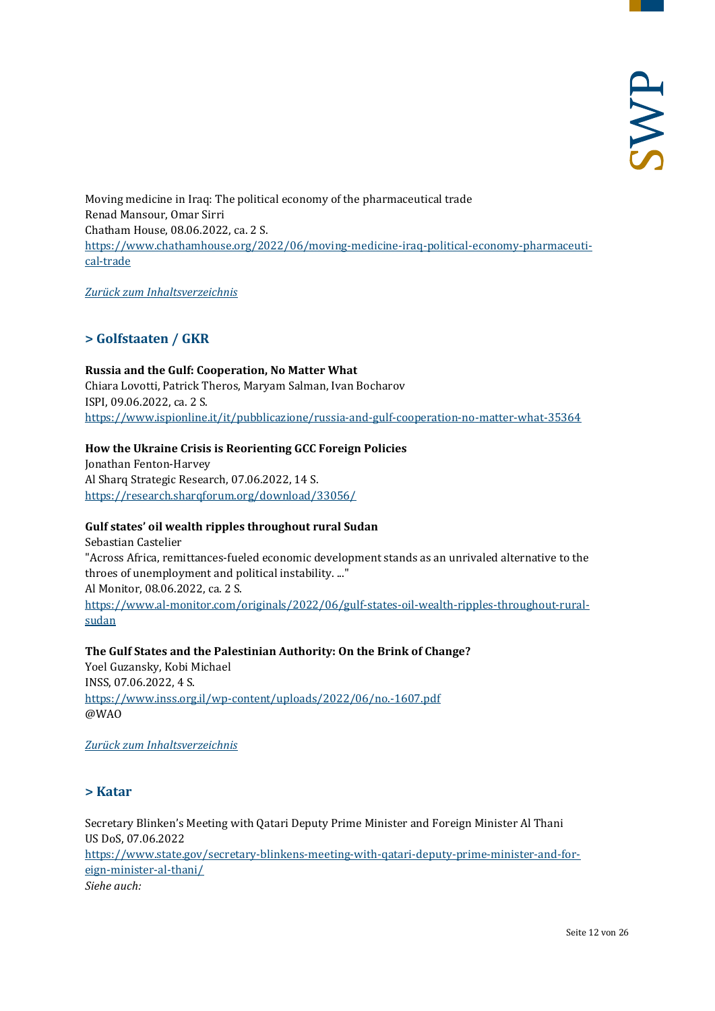Moving medicine in Iraq: The political economy of the pharmaceutical trade Renad Mansour, Omar Sirri Chatham House, 08.06.2022, ca. 2 S. [https://www.chathamhouse.org/2022/06/moving-medicine-iraq-political-economy-pharmaceuti](https://www.chathamhouse.org/2022/06/moving-medicine-iraq-political-economy-pharmaceutical-trade)[cal-trade](https://www.chathamhouse.org/2022/06/moving-medicine-iraq-political-economy-pharmaceutical-trade)

<span id="page-11-0"></span>*[Zurück zum Inhaltsverzeichnis](#page-0-0)*

# **> Golfstaaten / GKR**

**Russia and the Gulf: Cooperation, No Matter What** Chiara Lovotti, Patrick Theros, Maryam Salman, Ivan Bocharov ISPI, 09.06.2022, ca. 2 S. <https://www.ispionline.it/it/pubblicazione/russia-and-gulf-cooperation-no-matter-what-35364>

# **How the Ukraine Crisis is Reorienting GCC Foreign Policies**

Jonathan Fenton-Harvey Al Sharq Strategic Research, 07.06.2022, 14 S. <https://research.sharqforum.org/download/33056/>

#### **Gulf states' oil wealth ripples throughout rural Sudan**

Sebastian Castelier "Across Africa, remittances-fueled economic development stands as an unrivaled alternative to the throes of unemployment and political instability. ..." Al Monitor, 08.06.2022, ca. 2 S. [https://www.al-monitor.com/originals/2022/06/gulf-states-oil-wealth-ripples-throughout-rural](https://www.al-monitor.com/originals/2022/06/gulf-states-oil-wealth-ripples-throughout-rural-sudan)[sudan](https://www.al-monitor.com/originals/2022/06/gulf-states-oil-wealth-ripples-throughout-rural-sudan)

# **The Gulf States and the Palestinian Authority: On the Brink of Change?**

Yoel Guzansky, Kobi Michael INSS, 07.06.2022, 4 S. <https://www.inss.org.il/wp-content/uploads/2022/06/no.-1607.pdf> @WAO

<span id="page-11-1"></span>*[Zurück zum Inhaltsverzeichnis](#page-0-0)*

# **> Katar**

Secretary Blinken's Meeting with Qatari Deputy Prime Minister and Foreign Minister Al Thani US DoS, 07.06.2022 [https://www.state.gov/secretary-blinkens-meeting-with-qatari-deputy-prime-minister-and-for](https://www.state.gov/secretary-blinkens-meeting-with-qatari-deputy-prime-minister-and-foreign-minister-al-thani/)[eign-minister-al-thani/](https://www.state.gov/secretary-blinkens-meeting-with-qatari-deputy-prime-minister-and-foreign-minister-al-thani/) *Siehe auch:*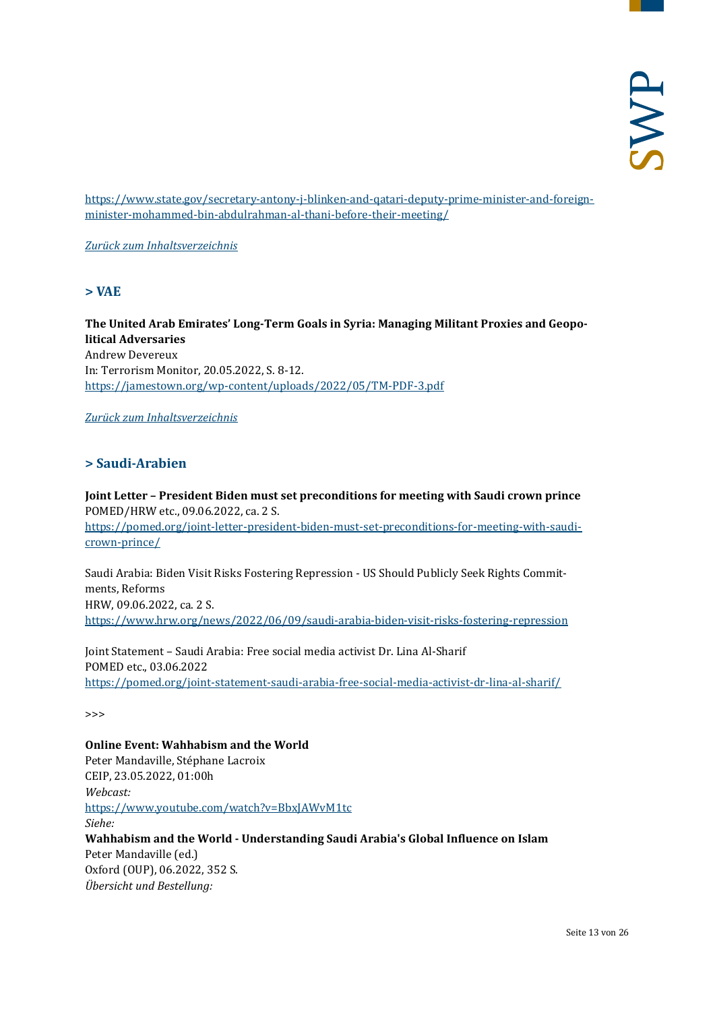[https://www.state.gov/secretary-antony-j-blinken-and-qatari-deputy-prime-minister-and-foreign](https://www.state.gov/secretary-antony-j-blinken-and-qatari-deputy-prime-minister-and-foreign-minister-mohammed-bin-abdulrahman-al-thani-before-their-meeting/)[minister-mohammed-bin-abdulrahman-al-thani-before-their-meeting/](https://www.state.gov/secretary-antony-j-blinken-and-qatari-deputy-prime-minister-and-foreign-minister-mohammed-bin-abdulrahman-al-thani-before-their-meeting/)

<span id="page-12-0"></span>*[Zurück zum Inhaltsverzeichnis](#page-0-0)*

**> VAE**

**The United Arab Emirates' Long-Term Goals in Syria: Managing Militant Proxies and Geopolitical Adversaries** Andrew Devereux In: Terrorism Monitor, 20.05.2022, S. 8-12. <https://jamestown.org/wp-content/uploads/2022/05/TM-PDF-3.pdf>

<span id="page-12-1"></span>*[Zurück zum Inhaltsverzeichnis](#page-0-0)*

# **> Saudi-Arabien**

**Joint Letter – President Biden must set preconditions for meeting with Saudi crown prince**  POMED/HRW etc., 09.06.2022, ca. 2 S. [https://pomed.org/joint-letter-president-biden-must-set-preconditions-for-meeting-with-saudi](https://pomed.org/joint-letter-president-biden-must-set-preconditions-for-meeting-with-saudi-crown-prince/)[crown-prince/](https://pomed.org/joint-letter-president-biden-must-set-preconditions-for-meeting-with-saudi-crown-prince/)

Saudi Arabia: Biden Visit Risks Fostering Repression - US Should Publicly Seek Rights Commitments, Reforms HRW, 09.06.2022, ca. 2 S. <https://www.hrw.org/news/2022/06/09/saudi-arabia-biden-visit-risks-fostering-repression>

Joint Statement – Saudi Arabia: Free social media activist Dr. Lina Al-Sharif POMED etc., 03.06.2022 <https://pomed.org/joint-statement-saudi-arabia-free-social-media-activist-dr-lina-al-sharif/>

>>>

**Online Event: Wahhabism and the World** Peter Mandaville, Stéphane Lacroix CEIP, 23.05.2022, 01:00h *Webcast:* <https://www.youtube.com/watch?v=BbxJAWvM1tc> *Siehe:* **Wahhabism and the World - Understanding Saudi Arabia's Global Influence on Islam** Peter Mandaville (ed.) Oxford (OUP), 06.2022, 352 S. *Übersicht und Bestellung:*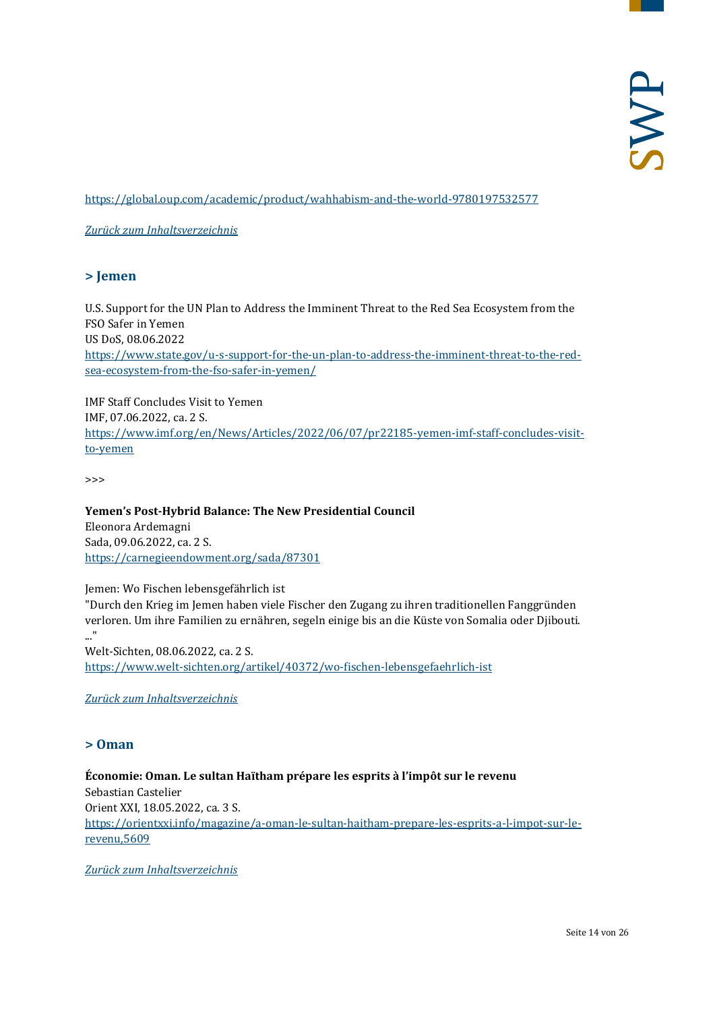<https://global.oup.com/academic/product/wahhabism-and-the-world-9780197532577>

<span id="page-13-0"></span>*[Zurück zum Inhaltsverzeichnis](#page-0-0)*

#### **> Jemen**

U.S. Support for the UN Plan to Address the Imminent Threat to the Red Sea Ecosystem from the FSO Safer in Yemen US DoS, 08.06.2022 [https://www.state.gov/u-s-support-for-the-un-plan-to-address-the-imminent-threat-to-the-red](https://www.state.gov/u-s-support-for-the-un-plan-to-address-the-imminent-threat-to-the-red-sea-ecosystem-from-the-fso-safer-in-yemen/)[sea-ecosystem-from-the-fso-safer-in-yemen/](https://www.state.gov/u-s-support-for-the-un-plan-to-address-the-imminent-threat-to-the-red-sea-ecosystem-from-the-fso-safer-in-yemen/)

IMF Staff Concludes Visit to Yemen IMF, 07.06.2022, ca. 2 S. [https://www.imf.org/en/News/Articles/2022/06/07/pr22185-yemen-imf-staff-concludes-visit](https://www.imf.org/en/News/Articles/2022/06/07/pr22185-yemen-imf-staff-concludes-visit-to-yemen)[to-yemen](https://www.imf.org/en/News/Articles/2022/06/07/pr22185-yemen-imf-staff-concludes-visit-to-yemen)

>>>

**Yemen's Post-Hybrid Balance: The New Presidential Council** Eleonora Ardemagni Sada, 09.06.2022, ca. 2 S. <https://carnegieendowment.org/sada/87301>

Jemen: Wo Fischen lebensgefährlich ist

"Durch den Krieg im Jemen haben viele Fischer den Zugang zu ihren traditionellen Fanggründen verloren. Um ihre Familien zu ernähren, segeln einige bis an die Küste von Somalia oder Djibouti.

..." Welt-Sichten, 08.06.2022, ca. 2 S. <https://www.welt-sichten.org/artikel/40372/wo-fischen-lebensgefaehrlich-ist>

<span id="page-13-1"></span>*[Zurück zum Inhaltsverzeichnis](#page-0-0)*

#### **> Oman**

**Économie: Oman. Le sultan Haïtham prépare les esprits à l'impôt sur le revenu** Sebastian Castelier Orient XXI, 18.05.2022, ca. 3 S. [https://orientxxi.info/magazine/a-oman-le-sultan-haitham-prepare-les-esprits-a-l-impot-sur-le](https://orientxxi.info/magazine/a-oman-le-sultan-haitham-prepare-les-esprits-a-l-impot-sur-le-revenu,5609)[revenu,5609](https://orientxxi.info/magazine/a-oman-le-sultan-haitham-prepare-les-esprits-a-l-impot-sur-le-revenu,5609)

*[Zurück zum Inhaltsverzeichnis](#page-0-0)*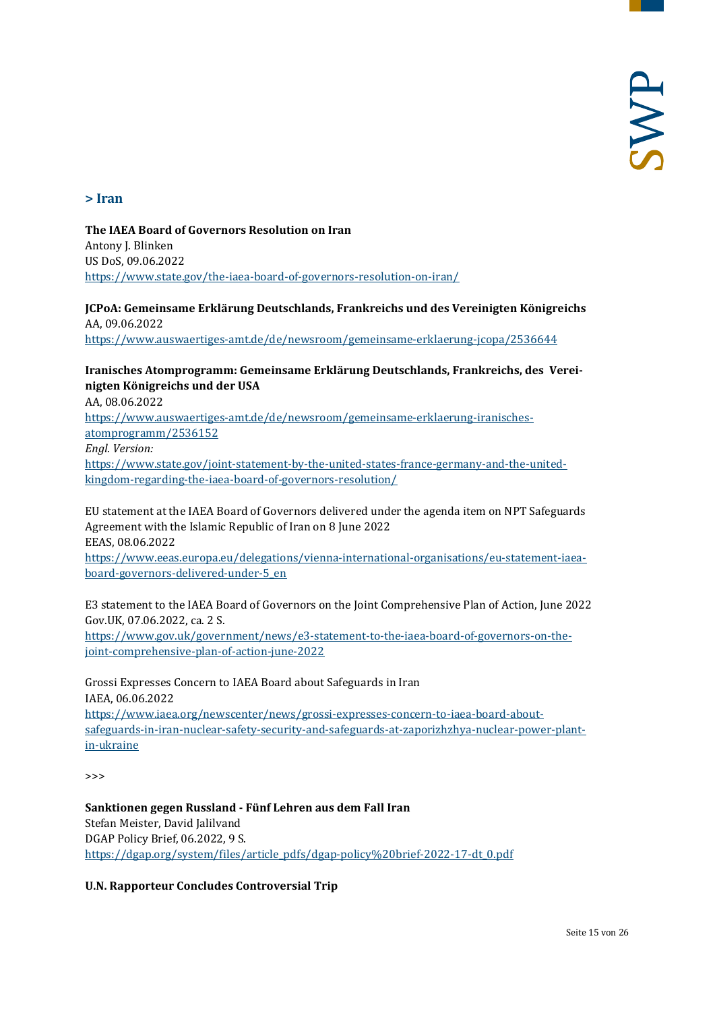#### <span id="page-14-0"></span>**> Iran**

**The IAEA Board of Governors Resolution on Iran** Antony J. Blinken US DoS, 09.06.2022 <https://www.state.gov/the-iaea-board-of-governors-resolution-on-iran/>

**JCPoA: Gemeinsame Erklärung Deutschlands, Frankreichs und des Vereinigten Königreichs** AA, 09.06.2022 <https://www.auswaertiges-amt.de/de/newsroom/gemeinsame-erklaerung-jcopa/2536644>

#### **Iranisches Atomprogramm: Gemeinsame Erklärung Deutschlands, Frankreichs, des Vereinigten Königreichs und der USA**

AA, 08.06.2022

[https://www.auswaertiges-amt.de/de/newsroom/gemeinsame-erklaerung-iranisches](https://www.auswaertiges-amt.de/de/newsroom/gemeinsame-erklaerung-iranisches-atomprogramm/2536152)[atomprogramm/2536152](https://www.auswaertiges-amt.de/de/newsroom/gemeinsame-erklaerung-iranisches-atomprogramm/2536152) *Engl. Version:* [https://www.state.gov/joint-statement-by-the-united-states-france-germany-and-the-united](https://www.state.gov/joint-statement-by-the-united-states-france-germany-and-the-united-kingdom-regarding-the-iaea-board-of-governors-resolution/)[kingdom-regarding-the-iaea-board-of-governors-resolution/](https://www.state.gov/joint-statement-by-the-united-states-france-germany-and-the-united-kingdom-regarding-the-iaea-board-of-governors-resolution/)

EU statement at the IAEA Board of Governors delivered under the agenda item on NPT Safeguards Agreement with the Islamic Republic of Iran on 8 June 2022 EEAS, 08.06.2022 [https://www.eeas.europa.eu/delegations/vienna-international-organisations/eu-statement-iaea-](https://www.eeas.europa.eu/delegations/vienna-international-organisations/eu-statement-iaea-board-governors-delivered-under-5_en)

[board-governors-delivered-under-5\\_en](https://www.eeas.europa.eu/delegations/vienna-international-organisations/eu-statement-iaea-board-governors-delivered-under-5_en)

E3 statement to the IAEA Board of Governors on the Joint Comprehensive Plan of Action, June 2022 Gov.UK, 07.06.2022, ca. 2 S. [https://www.gov.uk/government/news/e3-statement-to-the-iaea-board-of-governors-on-the](https://www.gov.uk/government/news/e3-statement-to-the-iaea-board-of-governors-on-the-joint-comprehensive-plan-of-action-june-2022)[joint-comprehensive-plan-of-action-june-2022](https://www.gov.uk/government/news/e3-statement-to-the-iaea-board-of-governors-on-the-joint-comprehensive-plan-of-action-june-2022)

Grossi Expresses Concern to IAEA Board about Safeguards in Iran IAEA, 06.06.2022 [https://www.iaea.org/newscenter/news/grossi-expresses-concern-to-iaea-board-about](https://www.iaea.org/newscenter/news/grossi-expresses-concern-to-iaea-board-about-safeguards-in-iran-nuclear-safety-security-and-safeguards-at-zaporizhzhya-nuclear-power-plant-in-ukraine)[safeguards-in-iran-nuclear-safety-security-and-safeguards-at-zaporizhzhya-nuclear-power-plant](https://www.iaea.org/newscenter/news/grossi-expresses-concern-to-iaea-board-about-safeguards-in-iran-nuclear-safety-security-and-safeguards-at-zaporizhzhya-nuclear-power-plant-in-ukraine)[in-ukraine](https://www.iaea.org/newscenter/news/grossi-expresses-concern-to-iaea-board-about-safeguards-in-iran-nuclear-safety-security-and-safeguards-at-zaporizhzhya-nuclear-power-plant-in-ukraine)

 $\rightarrow$ 

**Sanktionen gegen Russland - Fünf Lehren aus dem Fall Iran** Stefan Meister, David Jalilvand DGAP Policy Brief, 06.2022, 9 S. [https://dgap.org/system/files/article\\_pdfs/dgap-policy%20brief-2022-17-dt\\_0.pdf](https://dgap.org/system/files/article_pdfs/dgap-policy%20brief-2022-17-dt_0.pdf)

**U.N. Rapporteur Concludes Controversial Trip**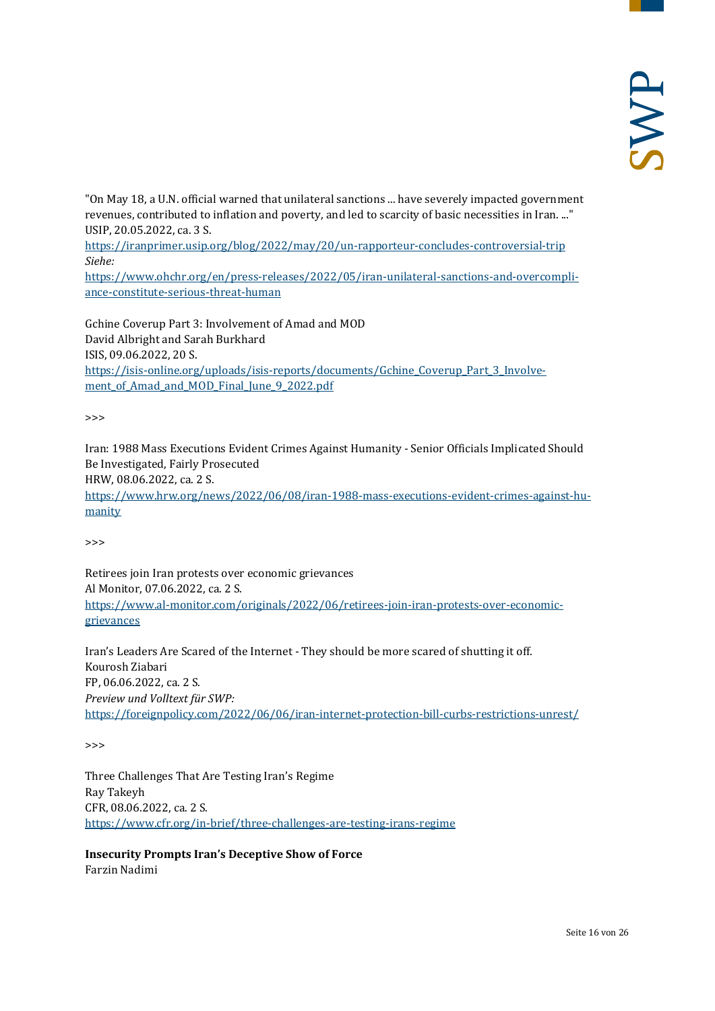"On May 18, a U.N. official warned that unilateral sanctions ... have severely impacted government revenues, contributed to inflation and poverty, and led to scarcity of basic necessities in Iran. ..." USIP, 20.05.2022, ca. 3 S.

<https://iranprimer.usip.org/blog/2022/may/20/un-rapporteur-concludes-controversial-trip> *Siehe:*

[https://www.ohchr.org/en/press-releases/2022/05/iran-unilateral-sanctions-and-overcompli](https://www.ohchr.org/en/press-releases/2022/05/iran-unilateral-sanctions-and-overcompliance-constitute-serious-threat-human)[ance-constitute-serious-threat-human](https://www.ohchr.org/en/press-releases/2022/05/iran-unilateral-sanctions-and-overcompliance-constitute-serious-threat-human)

Gchine Coverup Part 3: Involvement of Amad and MOD David Albright and Sarah Burkhard ISIS, 09.06.2022, 20 S. [https://isis-online.org/uploads/isis-reports/documents/Gchine\\_Coverup\\_Part\\_3\\_Involve](https://isis-online.org/uploads/isis-reports/documents/Gchine_Coverup_Part_3_Involvement_of_Amad_and_MOD_Final_June_9_2022.pdf)ment of Amad and MOD Final June 9 2022.pdf

>>>

Iran: 1988 Mass Executions Evident Crimes Against Humanity - Senior Officials Implicated Should Be Investigated, Fairly Prosecuted HRW, 08.06.2022, ca. 2 S. [https://www.hrw.org/news/2022/06/08/iran-1988-mass-executions-evident-crimes-against-hu](https://www.hrw.org/news/2022/06/08/iran-1988-mass-executions-evident-crimes-against-humanity)[manity](https://www.hrw.org/news/2022/06/08/iran-1988-mass-executions-evident-crimes-against-humanity)

>>>

Retirees join Iran protests over economic grievances Al Monitor, 07.06.2022, ca. 2 S. [https://www.al-monitor.com/originals/2022/06/retirees-join-iran-protests-over-economic](https://www.al-monitor.com/originals/2022/06/retirees-join-iran-protests-over-economic-grievances)[grievances](https://www.al-monitor.com/originals/2022/06/retirees-join-iran-protests-over-economic-grievances)

Iran's Leaders Are Scared of the Internet - They should be more scared of shutting it off. Kourosh Ziabari FP, 06.06.2022, ca. 2 S. *Preview und Volltext für SWP:* <https://foreignpolicy.com/2022/06/06/iran-internet-protection-bill-curbs-restrictions-unrest/>

>>>

Three Challenges That Are Testing Iran's Regime Ray Takeyh CFR, 08.06.2022, ca. 2 S. <https://www.cfr.org/in-brief/three-challenges-are-testing-irans-regime>

**Insecurity Prompts Iran's Deceptive Show of Force** Farzin Nadimi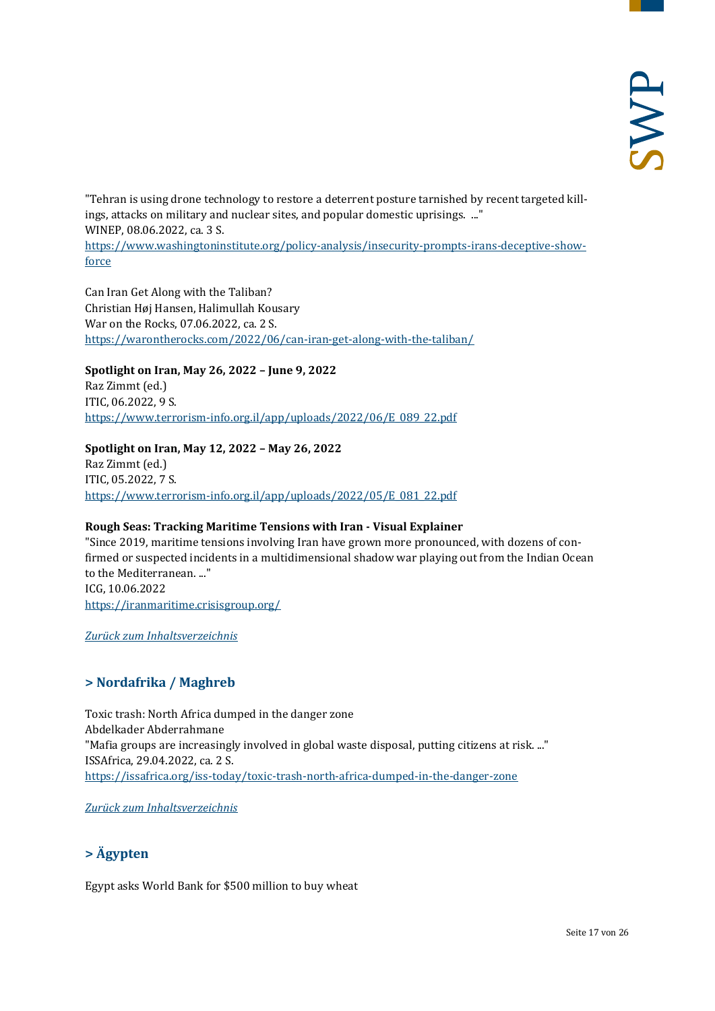"Tehran is using drone technology to restore a deterrent posture tarnished by recent targeted killings, attacks on military and nuclear sites, and popular domestic uprisings. ..." WINEP, 08.06.2022, ca. 3 S. [https://www.washingtoninstitute.org/policy-analysis/insecurity-prompts-irans-deceptive-show](https://www.washingtoninstitute.org/policy-analysis/insecurity-prompts-irans-deceptive-show-force)[force](https://www.washingtoninstitute.org/policy-analysis/insecurity-prompts-irans-deceptive-show-force)

Can Iran Get Along with the Taliban? Christian Høj Hansen, Halimullah Kousary War on the Rocks, 07.06.2022, ca. 2 S. <https://warontherocks.com/2022/06/can-iran-get-along-with-the-taliban/>

#### **Spotlight on Iran, May 26, 2022 – June 9, 2022**

Raz Zimmt (ed.) ITIC, 06.2022, 9 S. [https://www.terrorism-info.org.il/app/uploads/2022/06/E\\_089\\_22.pdf](https://www.terrorism-info.org.il/app/uploads/2022/06/E_089_22.pdf)

#### **Spotlight on Iran, May 12, 2022 – May 26, 2022**

Raz Zimmt (ed.) ITIC, 05.2022, 7 S. [https://www.terrorism-info.org.il/app/uploads/2022/05/E\\_081\\_22.pdf](https://www.terrorism-info.org.il/app/uploads/2022/05/E_081_22.pdf)

#### **Rough Seas: Tracking Maritime Tensions with Iran - Visual Explainer**

"Since 2019, maritime tensions involving Iran have grown more pronounced, with dozens of confirmed or suspected incidents in a multidimensional shadow war playing out from the Indian Ocean to the Mediterranean. ..." ICG, 10.06.2022 <https://iranmaritime.crisisgroup.org/>

<span id="page-16-0"></span>*[Zurück zum Inhaltsverzeichnis](#page-0-0)*

# **> Nordafrika / Maghreb**

Toxic trash: North Africa dumped in the danger zone Abdelkader Abderrahmane "Mafia groups are increasingly involved in global waste disposal, putting citizens at risk. ..." ISSAfrica, 29.04.2022, ca. 2 S. <https://issafrica.org/iss-today/toxic-trash-north-africa-dumped-in-the-danger-zone>

<span id="page-16-1"></span>*[Zurück zum Inhaltsverzeichnis](#page-0-0)*

# **> Ägypten**

Egypt asks World Bank for \$500 million to buy wheat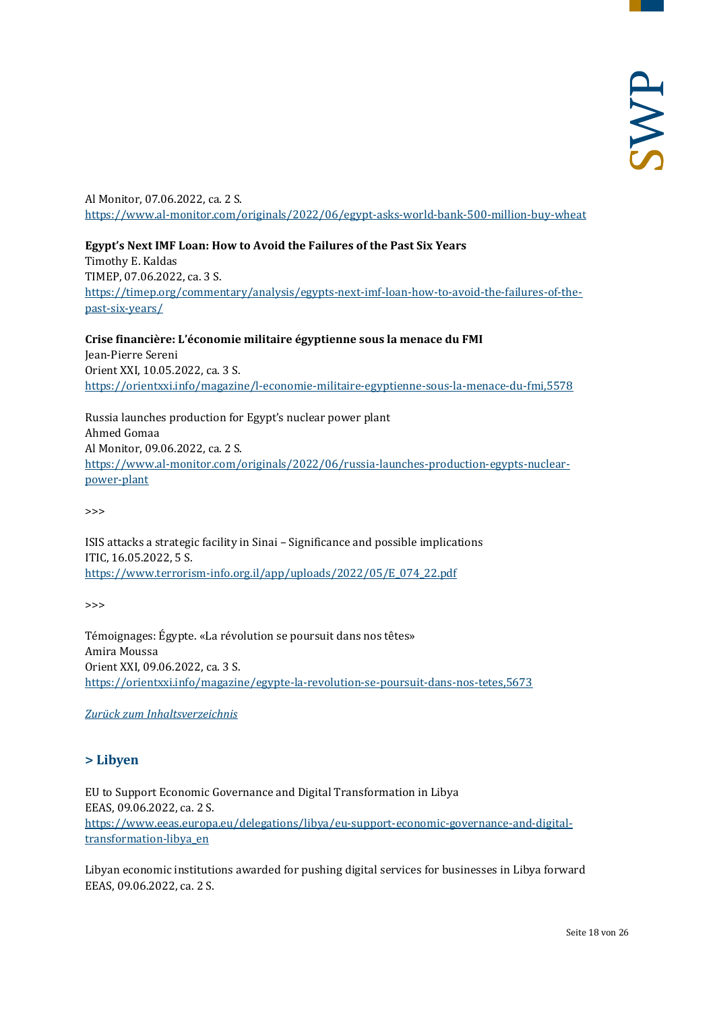Al Monitor, 07.06.2022, ca. 2 S. <https://www.al-monitor.com/originals/2022/06/egypt-asks-world-bank-500-million-buy-wheat>

**Egypt's Next IMF Loan: How to Avoid the Failures of the Past Six Years** Timothy E. Kaldas TIMEP, 07.06.2022, ca. 3 S. [https://timep.org/commentary/analysis/egypts-next-imf-loan-how-to-avoid-the-failures-of-the](https://timep.org/commentary/analysis/egypts-next-imf-loan-how-to-avoid-the-failures-of-the-past-six-years/)[past-six-years/](https://timep.org/commentary/analysis/egypts-next-imf-loan-how-to-avoid-the-failures-of-the-past-six-years/)

**Crise financière: L'économie militaire égyptienne sous la menace du FMI** Jean-Pierre Sereni Orient XXI, 10.05.2022, ca. 3 S. <https://orientxxi.info/magazine/l-economie-militaire-egyptienne-sous-la-menace-du-fmi,5578>

Russia launches production for Egypt's nuclear power plant Ahmed Gomaa Al Monitor, 09.06.2022, ca. 2 S. [https://www.al-monitor.com/originals/2022/06/russia-launches-production-egypts-nuclear](https://www.al-monitor.com/originals/2022/06/russia-launches-production-egypts-nuclear-power-plant)[power-plant](https://www.al-monitor.com/originals/2022/06/russia-launches-production-egypts-nuclear-power-plant)

>>>

ISIS attacks a strategic facility in Sinai – Significance and possible implications ITIC, 16.05.2022, 5 S. [https://www.terrorism-info.org.il/app/uploads/2022/05/E\\_074\\_22.pdf](https://www.terrorism-info.org.il/app/uploads/2022/05/E_074_22.pdf)

 $\rightarrow$ 

Témoignages: Égypte. «La révolution se poursuit dans nos têtes» Amira Moussa Orient XXI, 09.06.2022, ca. 3 S. <https://orientxxi.info/magazine/egypte-la-revolution-se-poursuit-dans-nos-tetes,5673>

#### <span id="page-17-0"></span>*[Zurück zum Inhaltsverzeichnis](#page-0-0)*

# **> Libyen**

EU to Support Economic Governance and Digital Transformation in Libya EEAS, 09.06.2022, ca. 2 S. [https://www.eeas.europa.eu/delegations/libya/eu-support-economic-governance-and-digital](https://www.eeas.europa.eu/delegations/libya/eu-support-economic-governance-and-digital-transformation-libya_en)[transformation-libya\\_en](https://www.eeas.europa.eu/delegations/libya/eu-support-economic-governance-and-digital-transformation-libya_en)

Libyan economic institutions awarded for pushing digital services for businesses in Libya forward EEAS, 09.06.2022, ca. 2 S.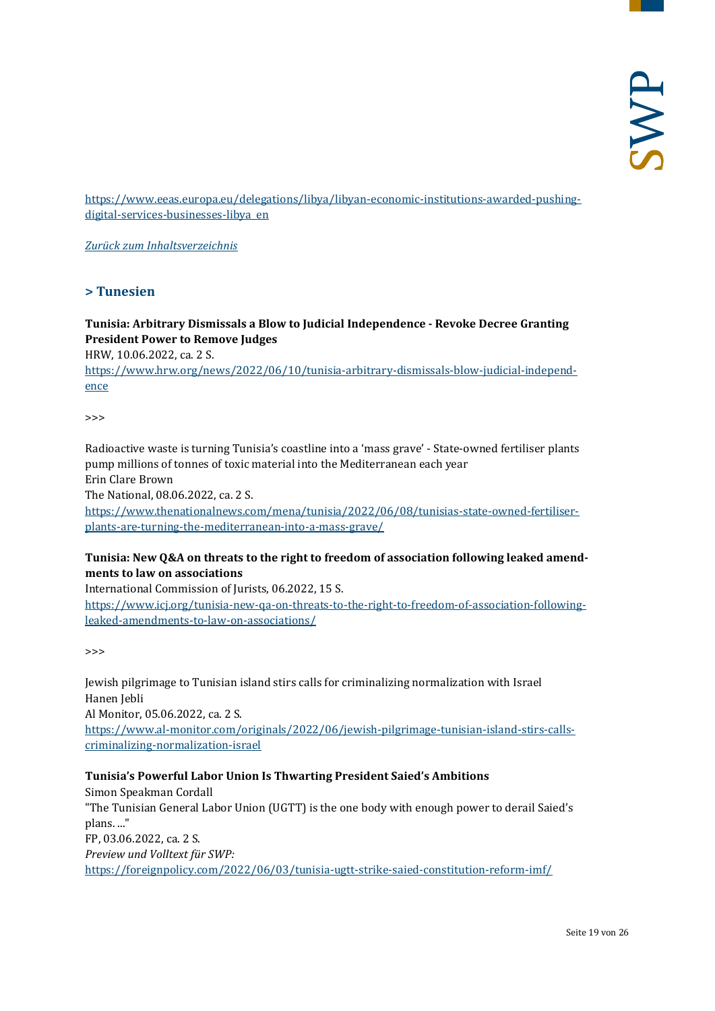[https://www.eeas.europa.eu/delegations/libya/libyan-economic-institutions-awarded-pushing](https://www.eeas.europa.eu/delegations/libya/libyan-economic-institutions-awarded-pushing-digital-services-businesses-libya_en)[digital-services-businesses-libya\\_en](https://www.eeas.europa.eu/delegations/libya/libyan-economic-institutions-awarded-pushing-digital-services-businesses-libya_en)

<span id="page-18-0"></span>*[Zurück zum Inhaltsverzeichnis](#page-0-0)*

#### **> Tunesien**

#### **Tunisia: Arbitrary Dismissals a Blow to Judicial Independence - Revoke Decree Granting President Power to Remove Judges**

HRW, 10.06.2022, ca. 2 S.

[https://www.hrw.org/news/2022/06/10/tunisia-arbitrary-dismissals-blow-judicial-independ](https://www.hrw.org/news/2022/06/10/tunisia-arbitrary-dismissals-blow-judicial-independence)[ence](https://www.hrw.org/news/2022/06/10/tunisia-arbitrary-dismissals-blow-judicial-independence)

 $\rightarrow$ 

Radioactive waste is turning Tunisia's coastline into a 'mass grave' - State-owned fertiliser plants pump millions of tonnes of toxic material into the Mediterranean each year Erin Clare Brown

The National, 08.06.2022, ca. 2 S.

[https://www.thenationalnews.com/mena/tunisia/2022/06/08/tunisias-state-owned-fertiliser](https://www.thenationalnews.com/mena/tunisia/2022/06/08/tunisias-state-owned-fertiliser-plants-are-turning-the-mediterranean-into-a-mass-grave/)[plants-are-turning-the-mediterranean-into-a-mass-grave/](https://www.thenationalnews.com/mena/tunisia/2022/06/08/tunisias-state-owned-fertiliser-plants-are-turning-the-mediterranean-into-a-mass-grave/)

#### **Tunisia: New Q&A on threats to the right to freedom of association following leaked amendments to law on associations**

International Commission of Jurists, 06.2022, 15 S. [https://www.icj.org/tunisia-new-qa-on-threats-to-the-right-to-freedom-of-association-following](https://www.icj.org/tunisia-new-qa-on-threats-to-the-right-to-freedom-of-association-following-leaked-amendments-to-law-on-associations/)[leaked-amendments-to-law-on-associations/](https://www.icj.org/tunisia-new-qa-on-threats-to-the-right-to-freedom-of-association-following-leaked-amendments-to-law-on-associations/)

>>>

Jewish pilgrimage to Tunisian island stirs calls for criminalizing normalization with Israel Hanen Jebli Al Monitor, 05.06.2022, ca. 2 S. [https://www.al-monitor.com/originals/2022/06/jewish-pilgrimage-tunisian-island-stirs-calls](https://www.al-monitor.com/originals/2022/06/jewish-pilgrimage-tunisian-island-stirs-calls-criminalizing-normalization-israel)[criminalizing-normalization-israel](https://www.al-monitor.com/originals/2022/06/jewish-pilgrimage-tunisian-island-stirs-calls-criminalizing-normalization-israel)

#### **Tunisia's Powerful Labor Union Is Thwarting President Saied's Ambitions**

Simon Speakman Cordall "The Tunisian General Labor Union (UGTT) is the one body with enough power to derail Saied's plans. ..." FP, 03.06.2022, ca. 2 S. *Preview und Volltext für SWP:* <https://foreignpolicy.com/2022/06/03/tunisia-ugtt-strike-saied-constitution-reform-imf/>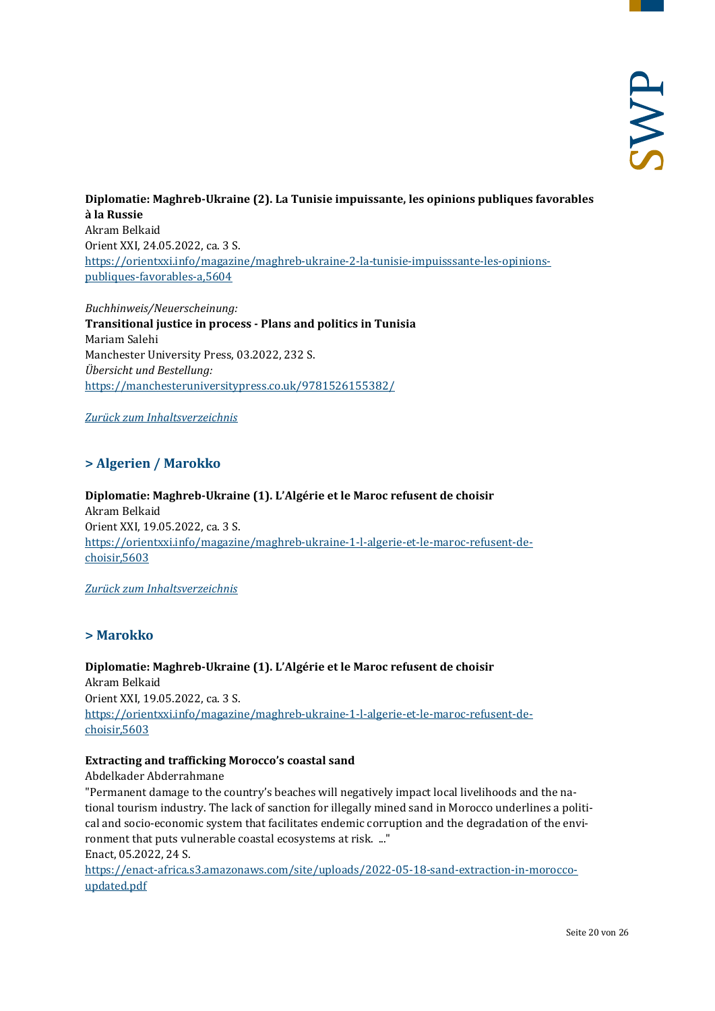**Diplomatie: Maghreb-Ukraine (2). La Tunisie impuissante, les opinions publiques favorables à la Russie** Akram Belkaid Orient XXI, 24.05.2022, ca. 3 S. [https://orientxxi.info/magazine/maghreb-ukraine-2-la-tunisie-impuisssante-les-opinions](https://orientxxi.info/magazine/maghreb-ukraine-2-la-tunisie-impuisssante-les-opinions-publiques-favorables-a,5604)[publiques-favorables-a,5604](https://orientxxi.info/magazine/maghreb-ukraine-2-la-tunisie-impuisssante-les-opinions-publiques-favorables-a,5604)

*Buchhinweis/Neuerscheinung:* **Transitional justice in process - Plans and politics in Tunisia** Mariam Salehi Manchester University Press, 03.2022, 232 S. *Übersicht und Bestellung:* <https://manchesteruniversitypress.co.uk/9781526155382/>

<span id="page-19-0"></span>*[Zurück zum Inhaltsverzeichnis](#page-0-0)*

# **> Algerien / Marokko**

**Diplomatie: Maghreb-Ukraine (1). L'Algérie et le Maroc refusent de choisir** Akram Belkaid Orient XXI, 19.05.2022, ca. 3 S. [https://orientxxi.info/magazine/maghreb-ukraine-1-l-algerie-et-le-maroc-refusent-de](https://orientxxi.info/magazine/maghreb-ukraine-1-l-algerie-et-le-maroc-refusent-de-choisir,5603)[choisir,5603](https://orientxxi.info/magazine/maghreb-ukraine-1-l-algerie-et-le-maroc-refusent-de-choisir,5603)

<span id="page-19-1"></span>*[Zurück zum Inhaltsverzeichnis](#page-0-0)*

# **> Marokko**

**Diplomatie: Maghreb-Ukraine (1). L'Algérie et le Maroc refusent de choisir** Akram Belkaid Orient XXI, 19.05.2022, ca. 3 S. [https://orientxxi.info/magazine/maghreb-ukraine-1-l-algerie-et-le-maroc-refusent-de](https://orientxxi.info/magazine/maghreb-ukraine-1-l-algerie-et-le-maroc-refusent-de-choisir,5603)[choisir,5603](https://orientxxi.info/magazine/maghreb-ukraine-1-l-algerie-et-le-maroc-refusent-de-choisir,5603)

# **Extracting and trafficking Morocco's coastal sand**

Abdelkader Abderrahmane

"Permanent damage to the country's beaches will negatively impact local livelihoods and the national tourism industry. The lack of sanction for illegally mined sand in Morocco underlines a political and socio-economic system that facilitates endemic corruption and the degradation of the environment that puts vulnerable coastal ecosystems at risk. ..."

Enact, 05.2022, 24 S.

[https://enact-africa.s3.amazonaws.com/site/uploads/2022-05-18-sand-extraction-in-morocco](https://enact-africa.s3.amazonaws.com/site/uploads/2022-05-18-sand-extraction-in-morocco-updated.pdf)[updated.pdf](https://enact-africa.s3.amazonaws.com/site/uploads/2022-05-18-sand-extraction-in-morocco-updated.pdf)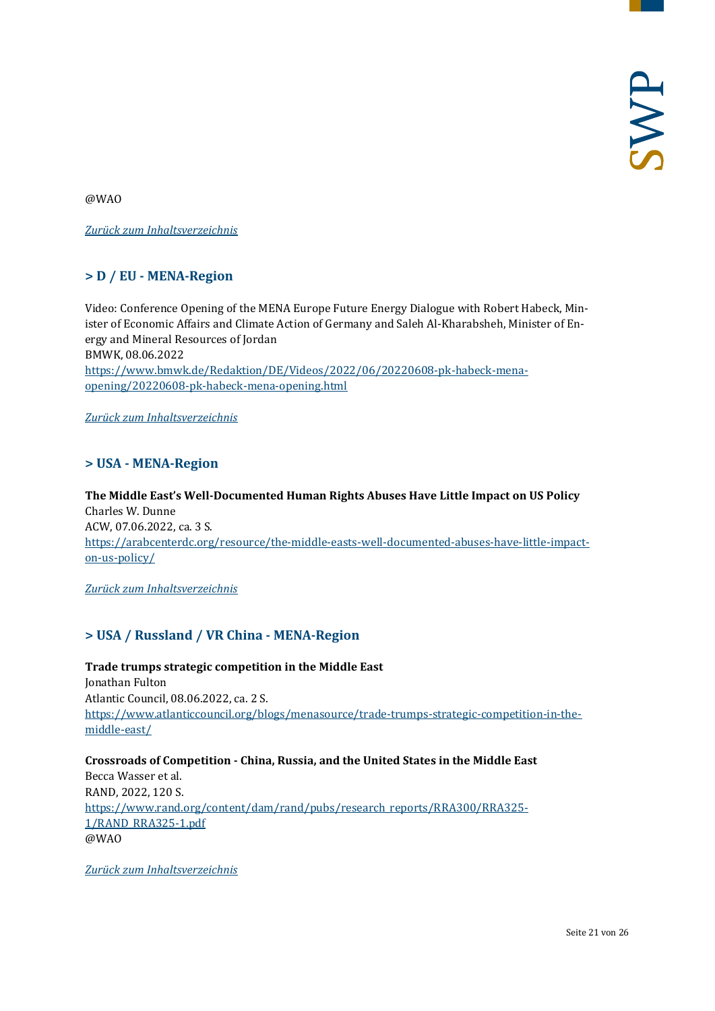@WAO

<span id="page-20-0"></span>*[Zurück zum Inhaltsverzeichnis](#page-0-0)*

# **> D / EU - MENA-Region**

Video: Conference Opening of the MENA Europe Future Energy Dialogue with Robert Habeck, Minister of Economic Affairs and Climate Action of Germany and Saleh Al-Kharabsheh, Minister of Energy and Mineral Resources of Jordan BMWK, 08.06.2022 [https://www.bmwk.de/Redaktion/DE/Videos/2022/06/20220608-pk-habeck-mena](https://www.bmwk.de/Redaktion/DE/Videos/2022/06/20220608-pk-habeck-mena-opening/20220608-pk-habeck-mena-opening.html)[opening/20220608-pk-habeck-mena-opening.html](https://www.bmwk.de/Redaktion/DE/Videos/2022/06/20220608-pk-habeck-mena-opening/20220608-pk-habeck-mena-opening.html)

<span id="page-20-1"></span>*[Zurück zum Inhaltsverzeichnis](#page-0-0)*

# **> USA - MENA-Region**

**The Middle East's Well-Documented Human Rights Abuses Have Little Impact on US Policy** Charles W. Dunne ACW, 07.06.2022, ca. 3 S. [https://arabcenterdc.org/resource/the-middle-easts-well-documented-abuses-have-little-impact](https://arabcenterdc.org/resource/the-middle-easts-well-documented-abuses-have-little-impact-on-us-policy/)[on-us-policy/](https://arabcenterdc.org/resource/the-middle-easts-well-documented-abuses-have-little-impact-on-us-policy/)

<span id="page-20-2"></span>*[Zurück zum Inhaltsverzeichnis](#page-0-0)*

# **> USA / Russland / VR China - MENA-Region**

**Trade trumps strategic competition in the Middle East** Jonathan Fulton Atlantic Council, 08.06.2022, ca. 2 S. [https://www.atlanticcouncil.org/blogs/menasource/trade-trumps-strategic-competition-in-the](https://www.atlanticcouncil.org/blogs/menasource/trade-trumps-strategic-competition-in-the-middle-east/)[middle-east/](https://www.atlanticcouncil.org/blogs/menasource/trade-trumps-strategic-competition-in-the-middle-east/)

**Crossroads of Competition - China, Russia, and the United States in the Middle East** Becca Wasser et al. RAND, 2022, 120 S. [https://www.rand.org/content/dam/rand/pubs/research\\_reports/RRA300/RRA325-](https://www.rand.org/content/dam/rand/pubs/research_reports/RRA300/RRA325-1/RAND_RRA325-1.pdf) [1/RAND\\_RRA325-1.pdf](https://www.rand.org/content/dam/rand/pubs/research_reports/RRA300/RRA325-1/RAND_RRA325-1.pdf) @WAO

*[Zurück zum Inhaltsverzeichnis](#page-0-0)*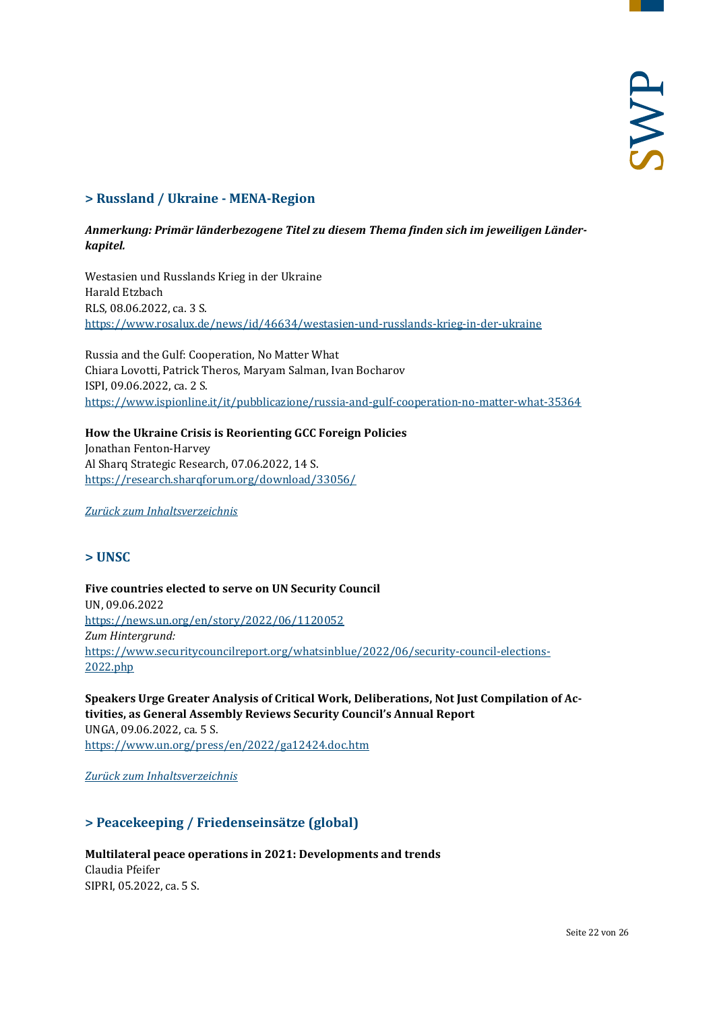# <span id="page-21-0"></span>**> Russland / Ukraine - MENA-Region**

#### *Anmerkung: Primär länderbezogene Titel zu diesem Thema finden sich im jeweiligen Länderkapitel.*

Westasien und Russlands Krieg in der Ukraine Harald Etzbach RLS, 08.06.2022, ca. 3 S. <https://www.rosalux.de/news/id/46634/westasien-und-russlands-krieg-in-der-ukraine>

Russia and the Gulf: Cooperation, No Matter What Chiara Lovotti, Patrick Theros, Maryam Salman, Ivan Bocharov ISPI, 09.06.2022, ca. 2 S. <https://www.ispionline.it/it/pubblicazione/russia-and-gulf-cooperation-no-matter-what-35364>

# **How the Ukraine Crisis is Reorienting GCC Foreign Policies** Jonathan Fenton-Harvey

Al Sharq Strategic Research, 07.06.2022, 14 S. <https://research.sharqforum.org/download/33056/>

<span id="page-21-1"></span>*[Zurück zum Inhaltsverzeichnis](#page-0-0)*

# **> UNSC**

**Five countries elected to serve on UN Security Council**  UN, 09.06.2022 <https://news.un.org/en/story/2022/06/1120052> *Zum Hintergrund:* [https://www.securitycouncilreport.org/whatsinblue/2022/06/security-council-elections-](https://www.securitycouncilreport.org/whatsinblue/2022/06/security-council-elections-2022.php)[2022.php](https://www.securitycouncilreport.org/whatsinblue/2022/06/security-council-elections-2022.php)

**Speakers Urge Greater Analysis of Critical Work, Deliberations, Not Just Compilation of Activities, as General Assembly Reviews Security Council's Annual Report** UNGA, 09.06.2022, ca. 5 S. <https://www.un.org/press/en/2022/ga12424.doc.htm>

<span id="page-21-2"></span>*[Zurück zum Inhaltsverzeichnis](#page-0-0)*

# **> Peacekeeping / Friedenseinsätze (global)**

#### **Multilateral peace operations in 2021: Developments and trends** Claudia Pfeifer SIPRI, 05.2022, ca. 5 S.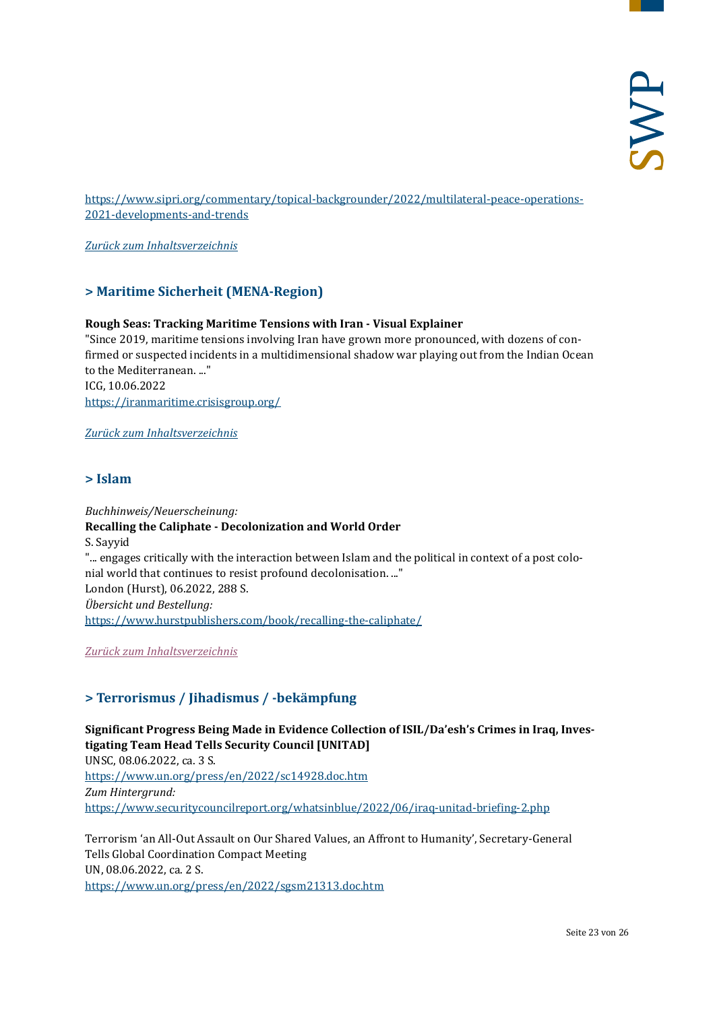[https://www.sipri.org/commentary/topical-backgrounder/2022/multilateral-peace-operations-](https://www.sipri.org/commentary/topical-backgrounder/2022/multilateral-peace-operations-2021-developments-and-trends)[2021-developments-and-trends](https://www.sipri.org/commentary/topical-backgrounder/2022/multilateral-peace-operations-2021-developments-and-trends)

<span id="page-22-0"></span>*[Zurück zum Inhaltsverzeichnis](#page-0-0)*

# **> Maritime Sicherheit (MENA-Region)**

#### **Rough Seas: Tracking Maritime Tensions with Iran - Visual Explainer**

"Since 2019, maritime tensions involving Iran have grown more pronounced, with dozens of confirmed or suspected incidents in a multidimensional shadow war playing out from the Indian Ocean to the Mediterranean. ..." ICG, 10.06.2022 <https://iranmaritime.crisisgroup.org/>

<span id="page-22-1"></span>*[Zurück zum Inhaltsverzeichnis](#page-0-0)*

#### **> Islam**

*Buchhinweis/Neuerscheinung:* **Recalling the Caliphate - Decolonization and World Order** S. Sayyid "... engages critically with the interaction between Islam and the political in context of a post colonial world that continues to resist profound decolonisation. ..." London (Hurst), 06.2022, 288 S. *Übersicht und Bestellung:* <https://www.hurstpublishers.com/book/recalling-the-caliphate/>

<span id="page-22-2"></span>*[Zurück zum Inhaltsverzeichnis](#page-0-0)*

# **> Terrorismus / Jihadismus / -bekämpfung**

**Significant Progress Being Made in Evidence Collection of ISIL/Da'esh's Crimes in Iraq, Investigating Team Head Tells Security Council [UNITAD]** UNSC, 08.06.2022, ca. 3 S. <https://www.un.org/press/en/2022/sc14928.doc.htm> *Zum Hintergrund:* <https://www.securitycouncilreport.org/whatsinblue/2022/06/iraq-unitad-briefing-2.php>

Terrorism 'an All-Out Assault on Our Shared Values, an Affront to Humanity', Secretary-General Tells Global Coordination Compact Meeting UN, 08.06.2022, ca. 2 S. <https://www.un.org/press/en/2022/sgsm21313.doc.htm>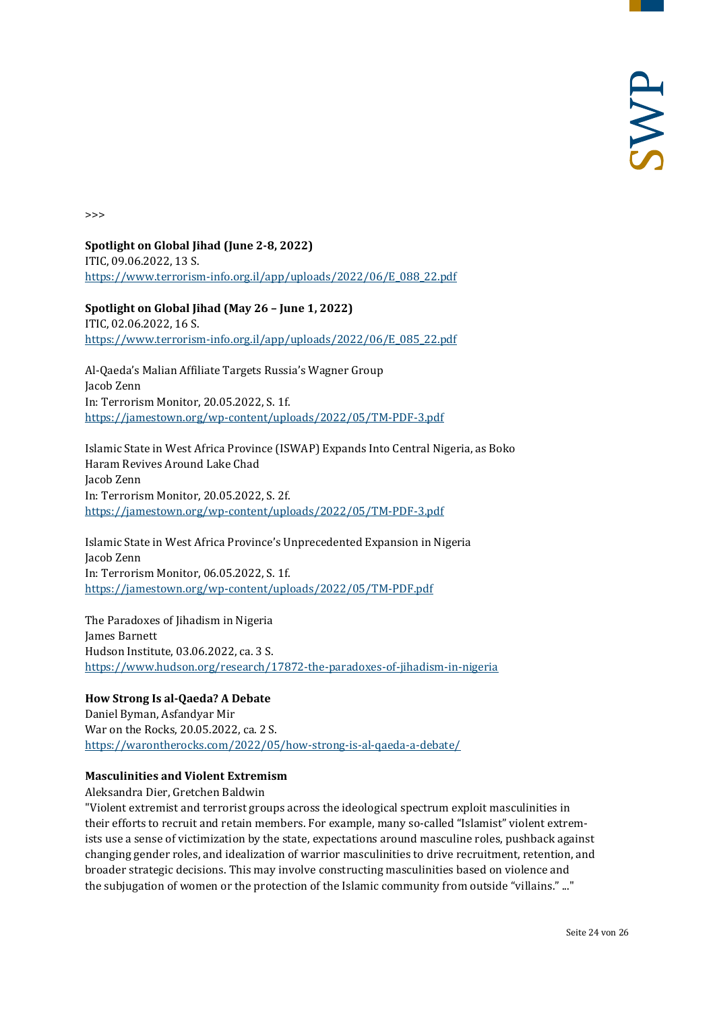>>>

**Spotlight on Global Jihad (June 2-8, 2022)** ITIC, 09.06.2022, 13 S. [https://www.terrorism-info.org.il/app/uploads/2022/06/E\\_088\\_22.pdf](https://www.terrorism-info.org.il/app/uploads/2022/06/E_088_22.pdf)

**Spotlight on Global Jihad (May 26 – June 1, 2022)** ITIC, 02.06.2022, 16 S. [https://www.terrorism-info.org.il/app/uploads/2022/06/E\\_085\\_22.pdf](https://www.terrorism-info.org.il/app/uploads/2022/06/E_085_22.pdf)

Al-Qaeda's Malian Affiliate Targets Russia's Wagner Group Jacob Zenn In: Terrorism Monitor, 20.05.2022, S. 1f. <https://jamestown.org/wp-content/uploads/2022/05/TM-PDF-3.pdf>

Islamic State in West Africa Province (ISWAP) Expands Into Central Nigeria, as Boko Haram Revives Around Lake Chad Jacob Zenn In: Terrorism Monitor, 20.05.2022, S. 2f. <https://jamestown.org/wp-content/uploads/2022/05/TM-PDF-3.pdf>

Islamic State in West Africa Province's Unprecedented Expansion in Nigeria Jacob Zenn In: Terrorism Monitor, 06.05.2022, S. 1f. <https://jamestown.org/wp-content/uploads/2022/05/TM-PDF.pdf>

The Paradoxes of Jihadism in Nigeria James Barnett Hudson Institute, 03.06.2022, ca. 3 S. <https://www.hudson.org/research/17872-the-paradoxes-of-jihadism-in-nigeria>

#### **How Strong Is al-Qaeda? A Debate**

Daniel Byman, Asfandyar Mir War on the Rocks, 20.05.2022, ca. 2 S. <https://warontherocks.com/2022/05/how-strong-is-al-qaeda-a-debate/>

#### **Masculinities and Violent Extremism**

Aleksandra Dier, Gretchen Baldwin

"Violent extremist and terrorist groups across the ideological spectrum exploit masculinities in their efforts to recruit and retain members. For example, many so-called "Islamist" violent extremists use a sense of victimization by the state, expectations around masculine roles, pushback against changing gender roles, and idealization of warrior masculinities to drive recruitment, retention, and broader strategic decisions. This may involve constructing masculinities based on violence and the subjugation of women or the protection of the Islamic community from outside "villains." ..."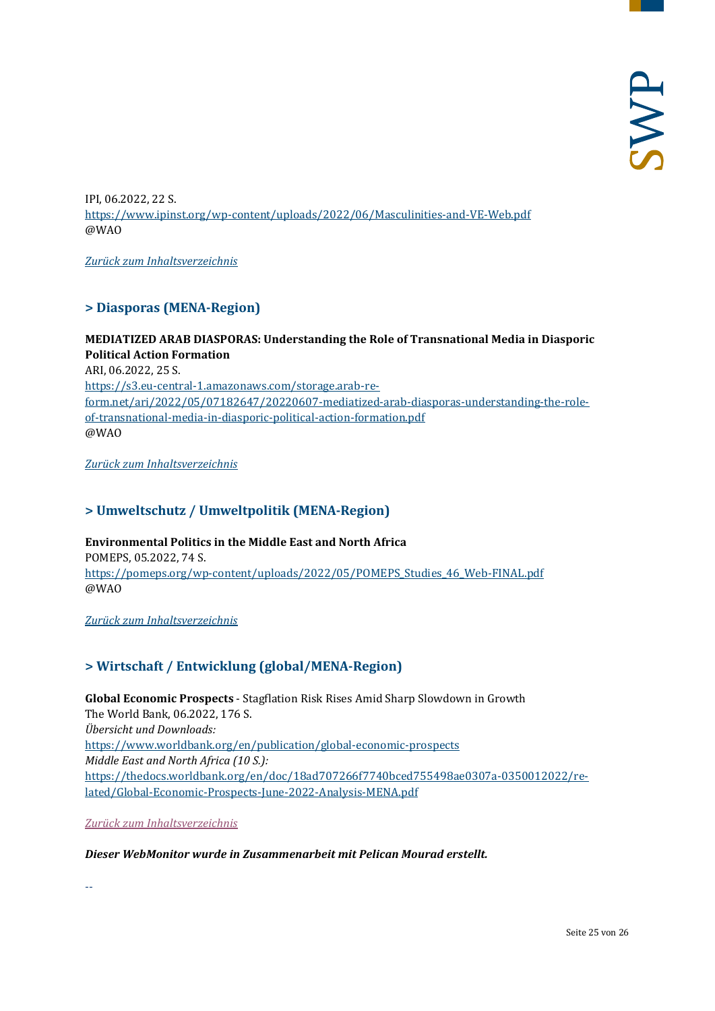IPI, 06.2022, 22 S. <https://www.ipinst.org/wp-content/uploads/2022/06/Masculinities-and-VE-Web.pdf> @WAO

<span id="page-24-0"></span>*[Zurück zum Inhaltsverzeichnis](#page-0-0)*

# **> Diasporas (MENA-Region)**

**MEDIATIZED ARAB DIASPORAS: Understanding the Role of Transnational Media in Diasporic Political Action Formation** ARI, 06.2022, 25 S. [https://s3.eu-central-1.amazonaws.com/storage.arab-re](https://s3.eu-central-1.amazonaws.com/storage.arab-reform.net/ari/2022/05/07182647/20220607-mediatized-arab-diasporas-understanding-the-role-of-transnational-media-in-diasporic-political-action-formation.pdf)[form.net/ari/2022/05/07182647/20220607-mediatized-arab-diasporas-understanding-the-role](https://s3.eu-central-1.amazonaws.com/storage.arab-reform.net/ari/2022/05/07182647/20220607-mediatized-arab-diasporas-understanding-the-role-of-transnational-media-in-diasporic-political-action-formation.pdf)[of-transnational-media-in-diasporic-political-action-formation.pdf](https://s3.eu-central-1.amazonaws.com/storage.arab-reform.net/ari/2022/05/07182647/20220607-mediatized-arab-diasporas-understanding-the-role-of-transnational-media-in-diasporic-political-action-formation.pdf) @WAO

<span id="page-24-1"></span>*[Zurück zum Inhaltsverzeichnis](#page-0-0)*

# **> Umweltschutz / Umweltpolitik (MENA-Region)**

**Environmental Politics in the Middle East and North Africa** POMEPS, 05.2022, 74 S. https://pomeps.org/wp-content/uploads/2022/05/POMEPS Studies 46 Web-FINAL.pdf @WAO

<span id="page-24-2"></span>*[Zurück zum Inhaltsverzeichnis](#page-0-0)*

# **> Wirtschaft / Entwicklung (global/MENA-Region)**

**Global Economic Prospects** - Stagflation Risk Rises Amid Sharp Slowdown in Growth The World Bank, 06.2022, 176 S. *Übersicht und Downloads:* <https://www.worldbank.org/en/publication/global-economic-prospects> *Middle East and North Africa (10 S.):* [https://thedocs.worldbank.org/en/doc/18ad707266f7740bced755498ae0307a-0350012022/re](https://thedocs.worldbank.org/en/doc/18ad707266f7740bced755498ae0307a-0350012022/related/Global-Economic-Prospects-June-2022-Analysis-MENA.pdf)[lated/Global-Economic-Prospects-June-2022-Analysis-MENA.pdf](https://thedocs.worldbank.org/en/doc/18ad707266f7740bced755498ae0307a-0350012022/related/Global-Economic-Prospects-June-2022-Analysis-MENA.pdf)

*[Zurück zum Inhaltsverzeichnis](#page-0-0)*

#### *Dieser WebMonitor wurde in Zusammenarbeit mit Pelican Mourad erstellt.*